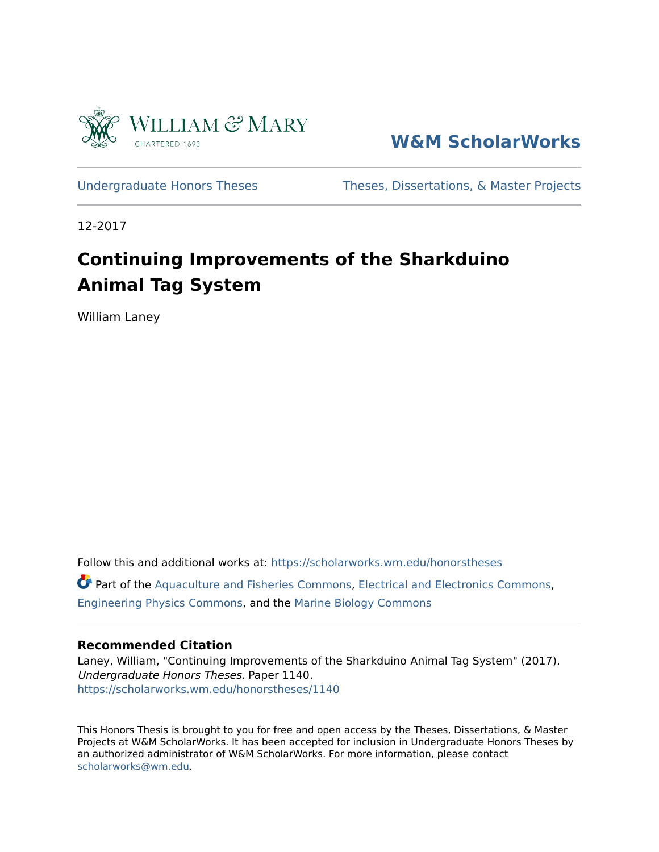

**[W&M ScholarWorks](https://scholarworks.wm.edu/)** 

[Undergraduate Honors Theses](https://scholarworks.wm.edu/honorstheses) Theses, Dissertations, & Master Projects

12-2017

### **Continuing Improvements of the Sharkduino Animal Tag System**

William Laney

Follow this and additional works at: [https://scholarworks.wm.edu/honorstheses](https://scholarworks.wm.edu/honorstheses?utm_source=scholarworks.wm.edu%2Fhonorstheses%2F1140&utm_medium=PDF&utm_campaign=PDFCoverPages)  Part of the [Aquaculture and Fisheries Commons,](http://network.bepress.com/hgg/discipline/78?utm_source=scholarworks.wm.edu%2Fhonorstheses%2F1140&utm_medium=PDF&utm_campaign=PDFCoverPages) [Electrical and Electronics Commons](http://network.bepress.com/hgg/discipline/270?utm_source=scholarworks.wm.edu%2Fhonorstheses%2F1140&utm_medium=PDF&utm_campaign=PDFCoverPages), [Engineering Physics Commons,](http://network.bepress.com/hgg/discipline/200?utm_source=scholarworks.wm.edu%2Fhonorstheses%2F1140&utm_medium=PDF&utm_campaign=PDFCoverPages) and the [Marine Biology Commons](http://network.bepress.com/hgg/discipline/1126?utm_source=scholarworks.wm.edu%2Fhonorstheses%2F1140&utm_medium=PDF&utm_campaign=PDFCoverPages)

#### **Recommended Citation**

Laney, William, "Continuing Improvements of the Sharkduino Animal Tag System" (2017). Undergraduate Honors Theses. Paper 1140. [https://scholarworks.wm.edu/honorstheses/1140](https://scholarworks.wm.edu/honorstheses/1140?utm_source=scholarworks.wm.edu%2Fhonorstheses%2F1140&utm_medium=PDF&utm_campaign=PDFCoverPages) 

This Honors Thesis is brought to you for free and open access by the Theses, Dissertations, & Master Projects at W&M ScholarWorks. It has been accepted for inclusion in Undergraduate Honors Theses by an authorized administrator of W&M ScholarWorks. For more information, please contact [scholarworks@wm.edu.](mailto:scholarworks@wm.edu)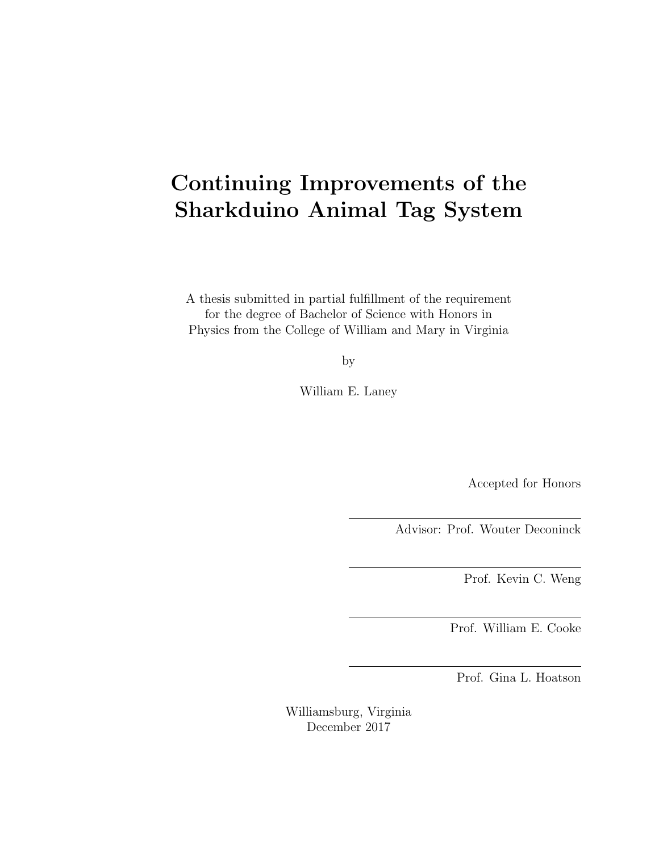### Continuing Improvements of the Sharkduino Animal Tag System

A thesis submitted in partial fulfillment of the requirement for the degree of Bachelor of Science with Honors in Physics from the College of William and Mary in Virginia

by

William E. Laney

Accepted for Honors

Advisor: Prof. Wouter Deconinck

Prof. Kevin C. Weng

Prof. William E. Cooke

Prof. Gina L. Hoatson

Williamsburg, Virginia December 2017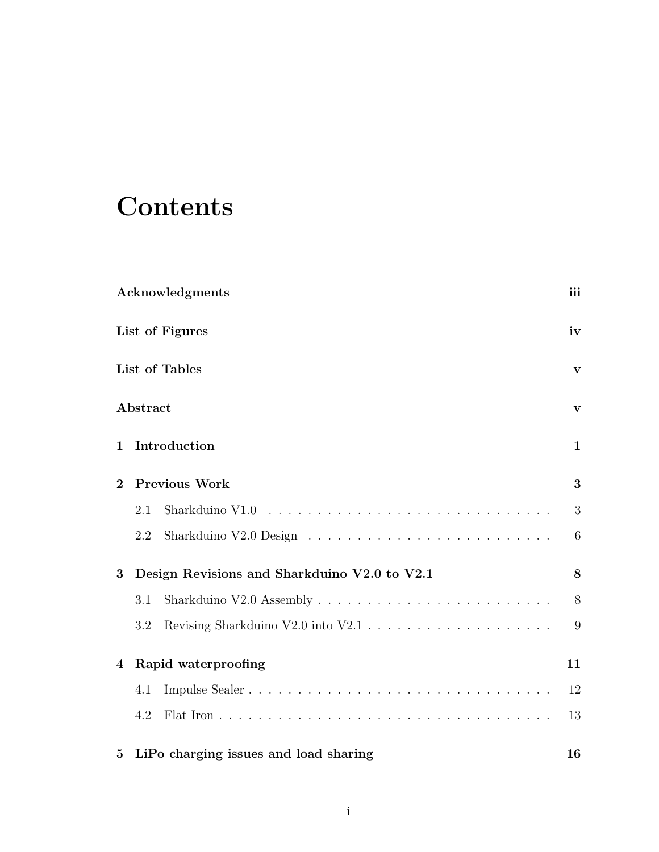## **Contents**

|                 |                              | Acknowledgments                                                                                 | iii         |  |
|-----------------|------------------------------|-------------------------------------------------------------------------------------------------|-------------|--|
|                 |                              | List of Figures                                                                                 | iv          |  |
|                 |                              | List of Tables                                                                                  | V           |  |
|                 | Abstract                     |                                                                                                 | $\mathbf v$ |  |
| 1               | Introduction<br>$\mathbf{1}$ |                                                                                                 |             |  |
| $\overline{2}$  |                              | <b>Previous Work</b>                                                                            | 3           |  |
|                 | 2.1                          | Sharkduino V1.0 $\dots \dots \dots \dots \dots \dots \dots \dots \dots \dots \dots \dots \dots$ | 3           |  |
|                 | 2.2                          |                                                                                                 | 6           |  |
| 3               |                              | Design Revisions and Sharkduino V2.0 to V2.1                                                    | 8           |  |
|                 | 3.1                          | Sharkduino V2.0 Assembly $\ldots \ldots \ldots \ldots \ldots \ldots \ldots \ldots \ldots$       | 8           |  |
|                 | 3.2                          |                                                                                                 | 9           |  |
| 4               |                              | Rapid waterproofing                                                                             | 11          |  |
|                 | 4.1                          |                                                                                                 | 12          |  |
|                 | 4.2                          |                                                                                                 | 13          |  |
| $5\overline{)}$ |                              | LiPo charging issues and load sharing                                                           | 16          |  |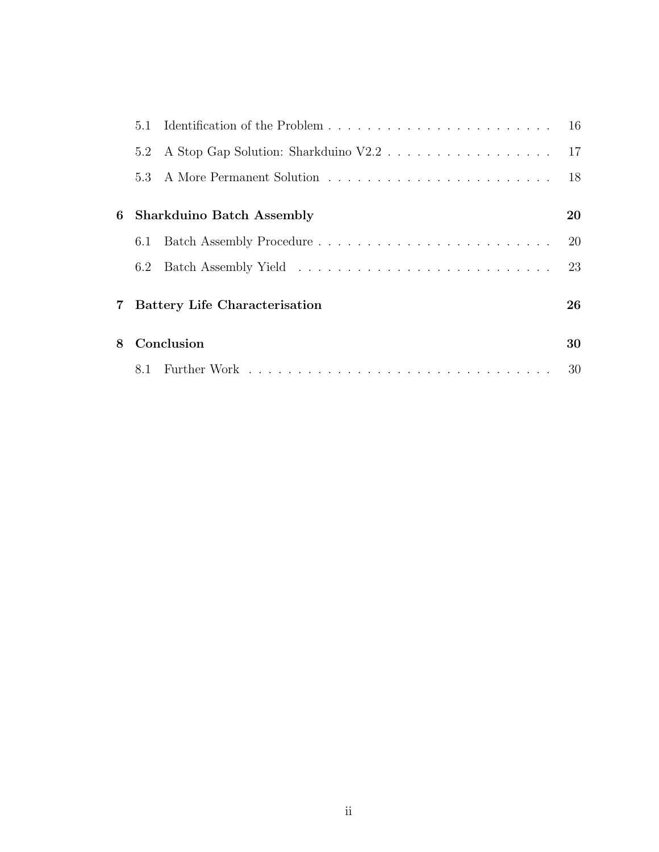|                | 5.1 |                                      | -16 |
|----------------|-----|--------------------------------------|-----|
|                | 5.2 |                                      |     |
|                |     |                                      | 18  |
| 6              |     | <b>Sharkduino Batch Assembly</b>     | 20  |
|                |     |                                      | 20  |
|                | 6.2 |                                      | 23  |
| $7\phantom{.}$ |     | <b>Battery Life Characterisation</b> | 26  |
| 8              |     | Conclusion                           | 30  |
|                |     |                                      | 30  |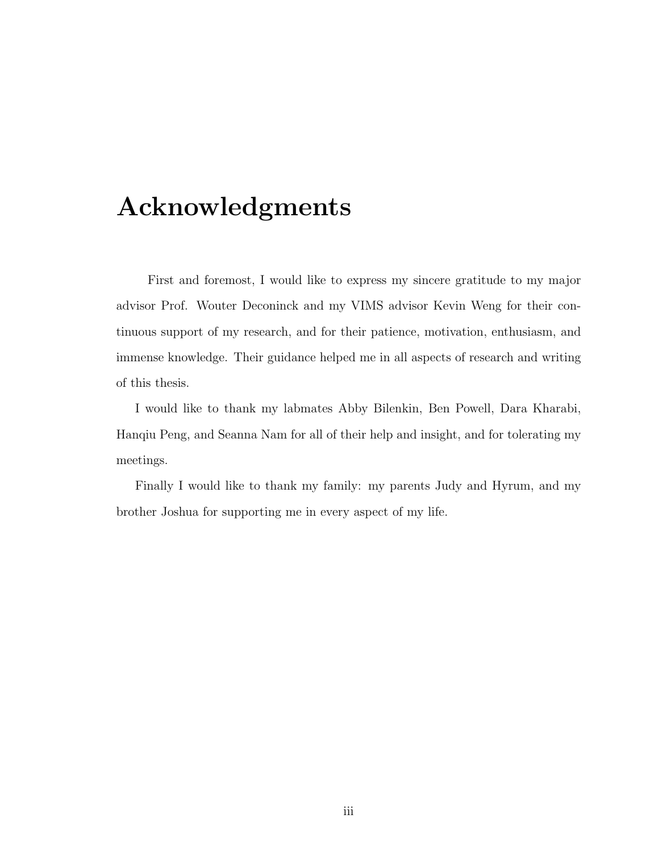### <span id="page-4-0"></span>Acknowledgments

First and foremost, I would like to express my sincere gratitude to my major advisor Prof. Wouter Deconinck and my VIMS advisor Kevin Weng for their continuous support of my research, and for their patience, motivation, enthusiasm, and immense knowledge. Their guidance helped me in all aspects of research and writing of this thesis.

I would like to thank my labmates Abby Bilenkin, Ben Powell, Dara Kharabi, Hanqiu Peng, and Seanna Nam for all of their help and insight, and for tolerating my meetings.

Finally I would like to thank my family: my parents Judy and Hyrum, and my brother Joshua for supporting me in every aspect of my life.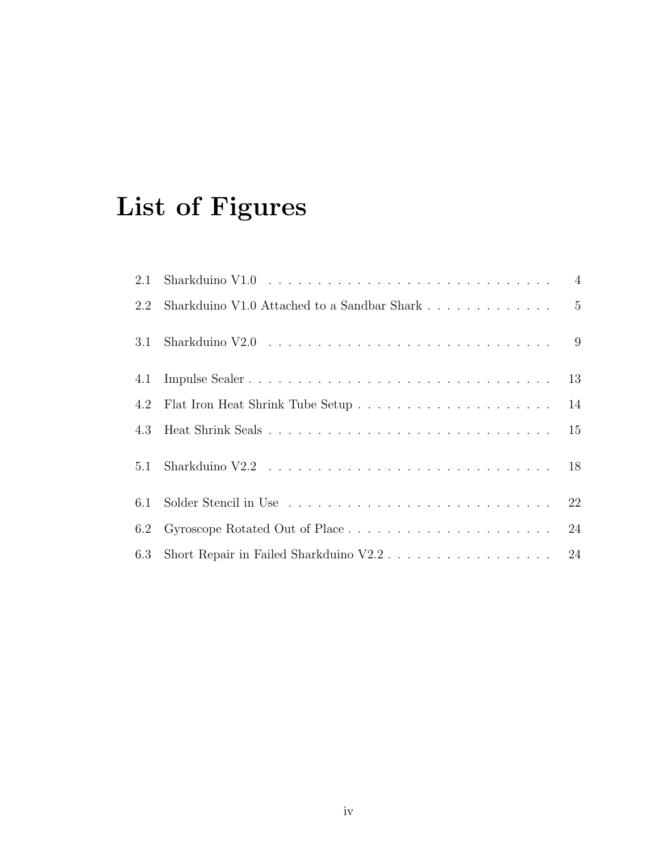## <span id="page-5-0"></span>List of Figures

| 2.1 | Sharkduino V1.0 $\dots \dots \dots \dots \dots \dots \dots \dots \dots \dots \dots \dots \dots$ |    |
|-----|-------------------------------------------------------------------------------------------------|----|
| 2.2 |                                                                                                 |    |
| 3.1 |                                                                                                 |    |
| 4.1 |                                                                                                 | 13 |
| 4.2 |                                                                                                 | 14 |
| 4.3 |                                                                                                 | 15 |
| 5.1 |                                                                                                 | 18 |
| 6.1 |                                                                                                 | 22 |
| 6.2 |                                                                                                 | 24 |
| 6.3 |                                                                                                 |    |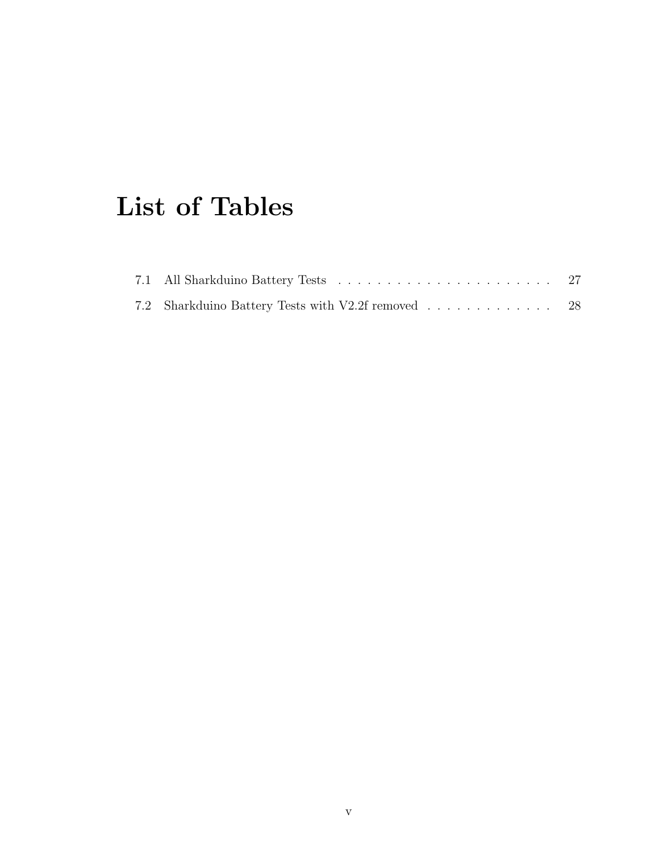## <span id="page-6-0"></span>List of Tables

| 7.2 Sharkduino Battery Tests with V2.2f removed 28 |  |
|----------------------------------------------------|--|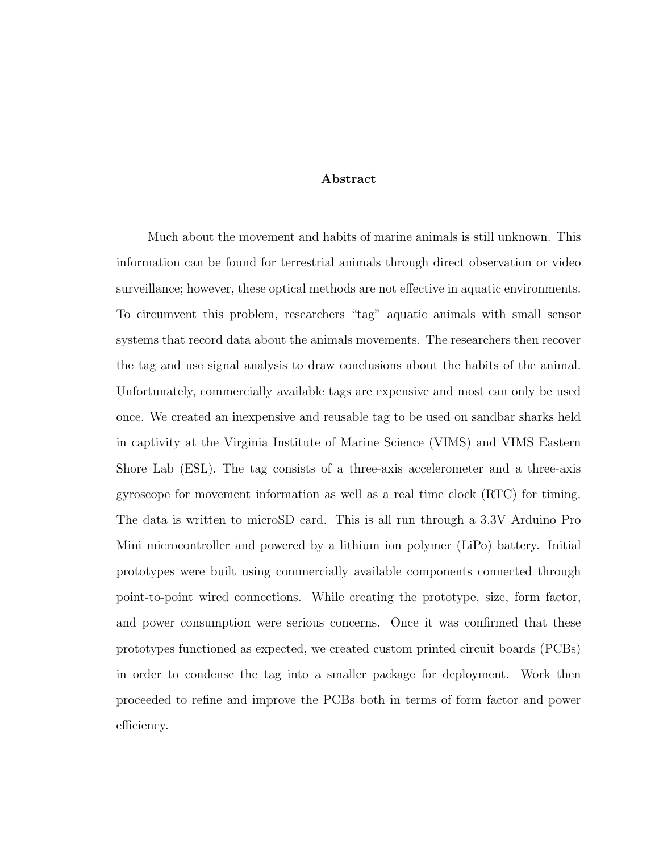#### Abstract

Much about the movement and habits of marine animals is still unknown. This information can be found for terrestrial animals through direct observation or video surveillance; however, these optical methods are not effective in aquatic environments. To circumvent this problem, researchers "tag" aquatic animals with small sensor systems that record data about the animals movements. The researchers then recover the tag and use signal analysis to draw conclusions about the habits of the animal. Unfortunately, commercially available tags are expensive and most can only be used once. We created an inexpensive and reusable tag to be used on sandbar sharks held in captivity at the Virginia Institute of Marine Science (VIMS) and VIMS Eastern Shore Lab (ESL). The tag consists of a three-axis accelerometer and a three-axis gyroscope for movement information as well as a real time clock (RTC) for timing. The data is written to microSD card. This is all run through a 3.3V Arduino Pro Mini microcontroller and powered by a lithium ion polymer (LiPo) battery. Initial prototypes were built using commercially available components connected through point-to-point wired connections. While creating the prototype, size, form factor, and power consumption were serious concerns. Once it was confirmed that these prototypes functioned as expected, we created custom printed circuit boards (PCBs) in order to condense the tag into a smaller package for deployment. Work then proceeded to refine and improve the PCBs both in terms of form factor and power efficiency.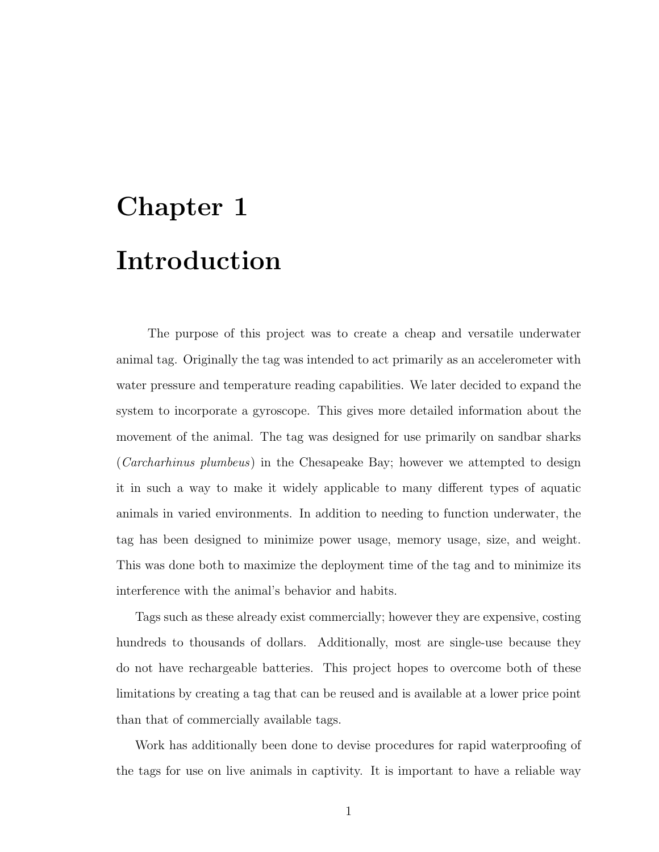# <span id="page-8-0"></span>Chapter 1 Introduction

The purpose of this project was to create a cheap and versatile underwater animal tag. Originally the tag was intended to act primarily as an accelerometer with water pressure and temperature reading capabilities. We later decided to expand the system to incorporate a gyroscope. This gives more detailed information about the movement of the animal. The tag was designed for use primarily on sandbar sharks (Carcharhinus plumbeus) in the Chesapeake Bay; however we attempted to design it in such a way to make it widely applicable to many different types of aquatic animals in varied environments. In addition to needing to function underwater, the tag has been designed to minimize power usage, memory usage, size, and weight. This was done both to maximize the deployment time of the tag and to minimize its interference with the animal's behavior and habits.

Tags such as these already exist commercially; however they are expensive, costing hundreds to thousands of dollars. Additionally, most are single-use because they do not have rechargeable batteries. This project hopes to overcome both of these limitations by creating a tag that can be reused and is available at a lower price point than that of commercially available tags.

Work has additionally been done to devise procedures for rapid waterproofing of the tags for use on live animals in captivity. It is important to have a reliable way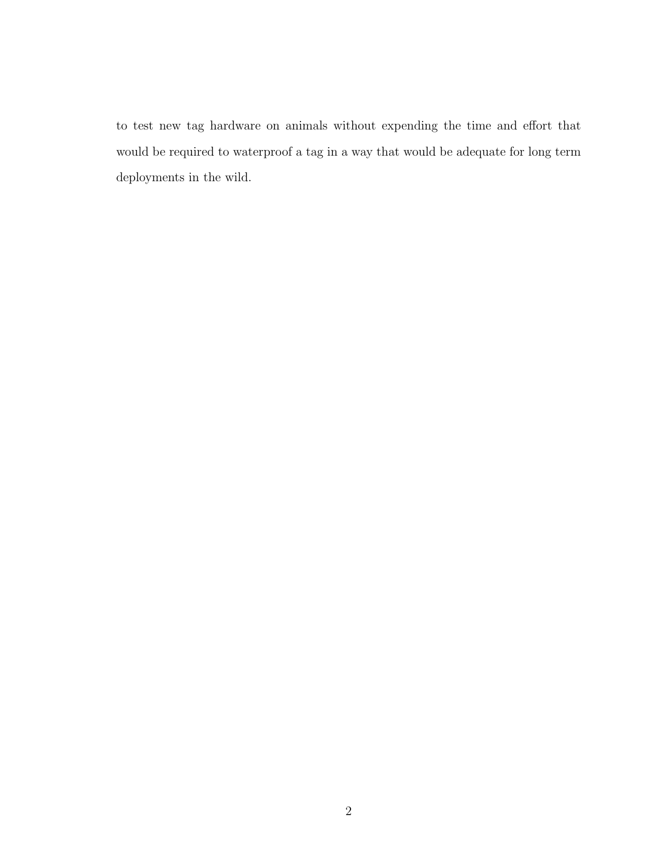to test new tag hardware on animals without expending the time and effort that would be required to waterproof a tag in a way that would be adequate for long term deployments in the wild.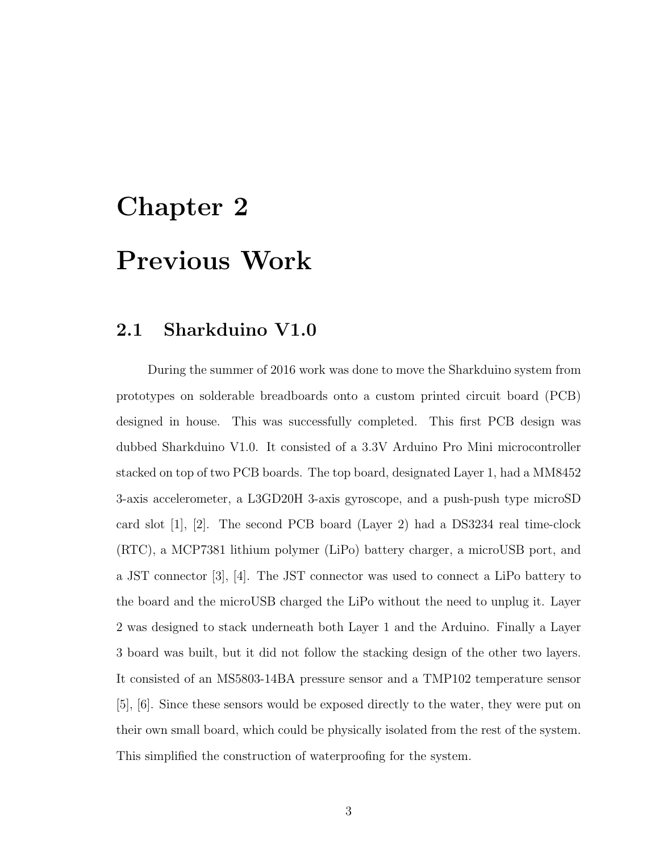# <span id="page-10-0"></span>Chapter 2 Previous Work

#### <span id="page-10-1"></span>2.1 Sharkduino V1.0

During the summer of 2016 work was done to move the Sharkduino system from prototypes on solderable breadboards onto a custom printed circuit board (PCB) designed in house. This was successfully completed. This first PCB design was dubbed Sharkduino V1.0. It consisted of a 3.3V Arduino Pro Mini microcontroller stacked on top of two PCB boards. The top board, designated Layer 1, had a MM8452 3-axis accelerometer, a L3GD20H 3-axis gyroscope, and a push-push type microSD card slot [\[1\]](#page-39-0), [\[2\]](#page-39-1). The second PCB board (Layer 2) had a DS3234 real time-clock (RTC), a MCP7381 lithium polymer (LiPo) battery charger, a microUSB port, and a JST connector [\[3\]](#page-39-2), [\[4\]](#page-39-3). The JST connector was used to connect a LiPo battery to the board and the microUSB charged the LiPo without the need to unplug it. Layer 2 was designed to stack underneath both Layer 1 and the Arduino. Finally a Layer 3 board was built, but it did not follow the stacking design of the other two layers. It consisted of an MS5803-14BA pressure sensor and a TMP102 temperature sensor [\[5\]](#page-39-4), [\[6\]](#page-39-5). Since these sensors would be exposed directly to the water, they were put on their own small board, which could be physically isolated from the rest of the system. This simplified the construction of waterproofing for the system.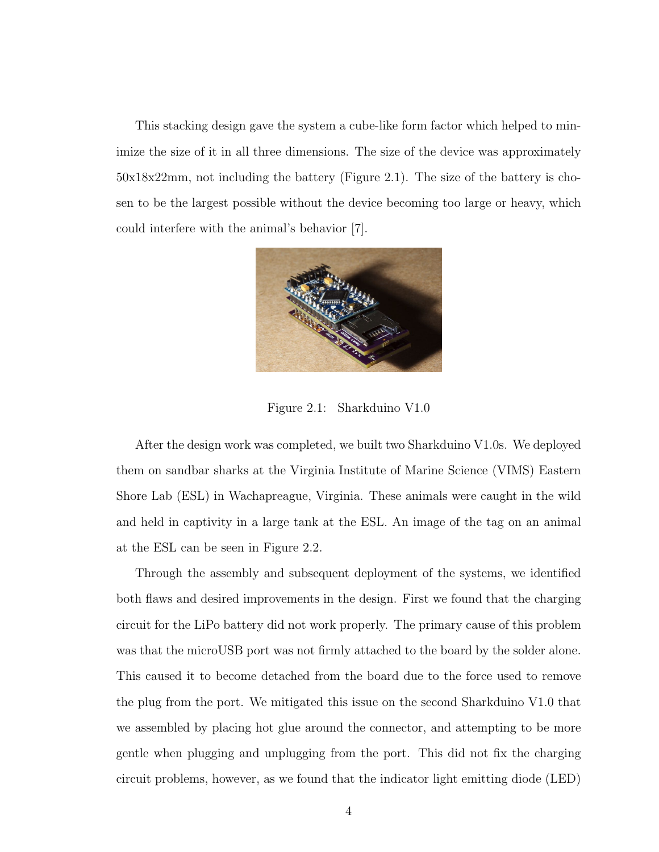This stacking design gave the system a cube-like form factor which helped to minimize the size of it in all three dimensions. The size of the device was approximately 50x18x22mm, not including the battery (Figure [2.1\)](#page-11-0). The size of the battery is chosen to be the largest possible without the device becoming too large or heavy, which could interfere with the animal's behavior [\[7\]](#page-39-6).

<span id="page-11-0"></span>

Figure 2.1: Sharkduino V1.0

After the design work was completed, we built two Sharkduino V1.0s. We deployed them on sandbar sharks at the Virginia Institute of Marine Science (VIMS) Eastern Shore Lab (ESL) in Wachapreague, Virginia. These animals were caught in the wild and held in captivity in a large tank at the ESL. An image of the tag on an animal at the ESL can be seen in Figure [2.2.](#page-12-0)

Through the assembly and subsequent deployment of the systems, we identified both flaws and desired improvements in the design. First we found that the charging circuit for the LiPo battery did not work properly. The primary cause of this problem was that the microUSB port was not firmly attached to the board by the solder alone. This caused it to become detached from the board due to the force used to remove the plug from the port. We mitigated this issue on the second Sharkduino V1.0 that we assembled by placing hot glue around the connector, and attempting to be more gentle when plugging and unplugging from the port. This did not fix the charging circuit problems, however, as we found that the indicator light emitting diode (LED)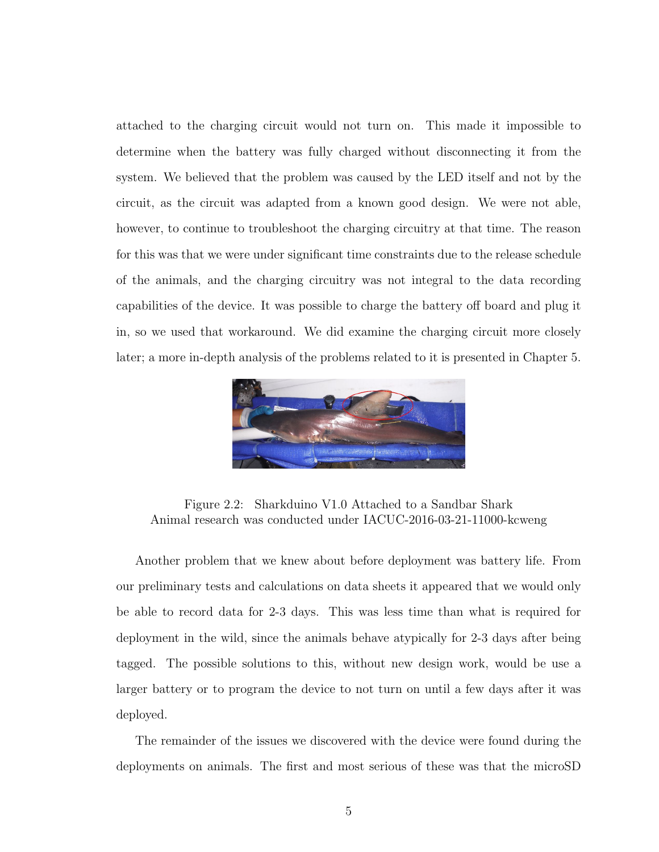attached to the charging circuit would not turn on. This made it impossible to determine when the battery was fully charged without disconnecting it from the system. We believed that the problem was caused by the LED itself and not by the circuit, as the circuit was adapted from a known good design. We were not able, however, to continue to troubleshoot the charging circuitry at that time. The reason for this was that we were under significant time constraints due to the release schedule of the animals, and the charging circuitry was not integral to the data recording capabilities of the device. It was possible to charge the battery off board and plug it in, so we used that workaround. We did examine the charging circuit more closely later; a more in-depth analysis of the problems related to it is presented in Chapter [5.](#page-23-0)



Figure 2.2: Sharkduino V1.0 Attached to a Sandbar Shark Animal research was conducted under IACUC-2016-03-21-11000-kcweng

<span id="page-12-0"></span>Another problem that we knew about before deployment was battery life. From our preliminary tests and calculations on data sheets it appeared that we would only be able to record data for 2-3 days. This was less time than what is required for deployment in the wild, since the animals behave atypically for 2-3 days after being tagged. The possible solutions to this, without new design work, would be use a larger battery or to program the device to not turn on until a few days after it was deployed.

The remainder of the issues we discovered with the device were found during the deployments on animals. The first and most serious of these was that the microSD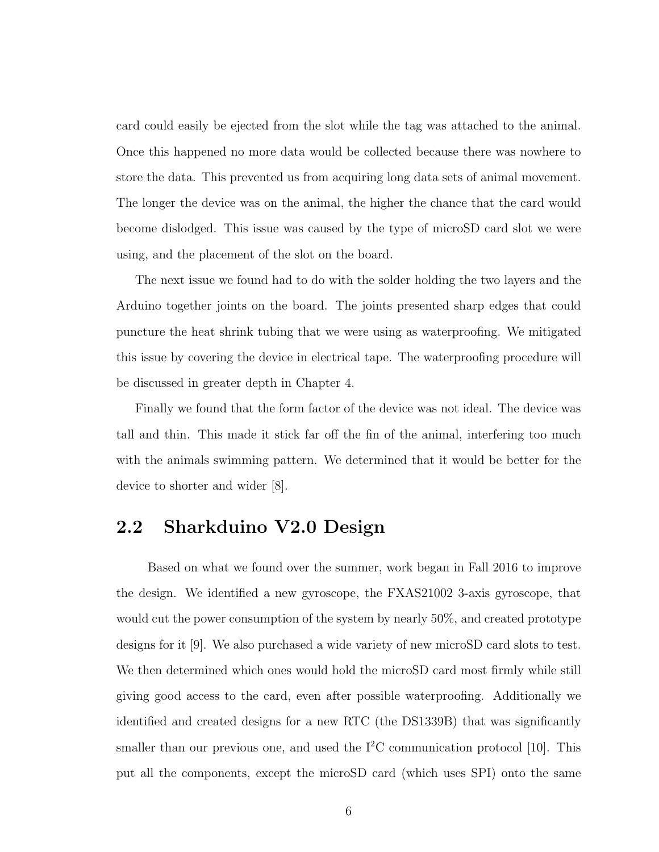card could easily be ejected from the slot while the tag was attached to the animal. Once this happened no more data would be collected because there was nowhere to store the data. This prevented us from acquiring long data sets of animal movement. The longer the device was on the animal, the higher the chance that the card would become dislodged. This issue was caused by the type of microSD card slot we were using, and the placement of the slot on the board.

The next issue we found had to do with the solder holding the two layers and the Arduino together joints on the board. The joints presented sharp edges that could puncture the heat shrink tubing that we were using as waterproofing. We mitigated this issue by covering the device in electrical tape. The waterproofing procedure will be discussed in greater depth in Chapter [4.](#page-18-0)

Finally we found that the form factor of the device was not ideal. The device was tall and thin. This made it stick far off the fin of the animal, interfering too much with the animals swimming pattern. We determined that it would be better for the device to shorter and wider [\[8\]](#page-39-7).

#### <span id="page-13-0"></span>2.2 Sharkduino V2.0 Design

Based on what we found over the summer, work began in Fall 2016 to improve the design. We identified a new gyroscope, the FXAS21002 3-axis gyroscope, that would cut the power consumption of the system by nearly 50%, and created prototype designs for it [\[9\]](#page-39-8). We also purchased a wide variety of new microSD card slots to test. We then determined which ones would hold the microSD card most firmly while still giving good access to the card, even after possible waterproofing. Additionally we identified and created designs for a new RTC (the DS1339B) that was significantly smaller than our previous one, and used the  $I^2C$  communication protocol [\[10\]](#page-39-9). This put all the components, except the microSD card (which uses SPI) onto the same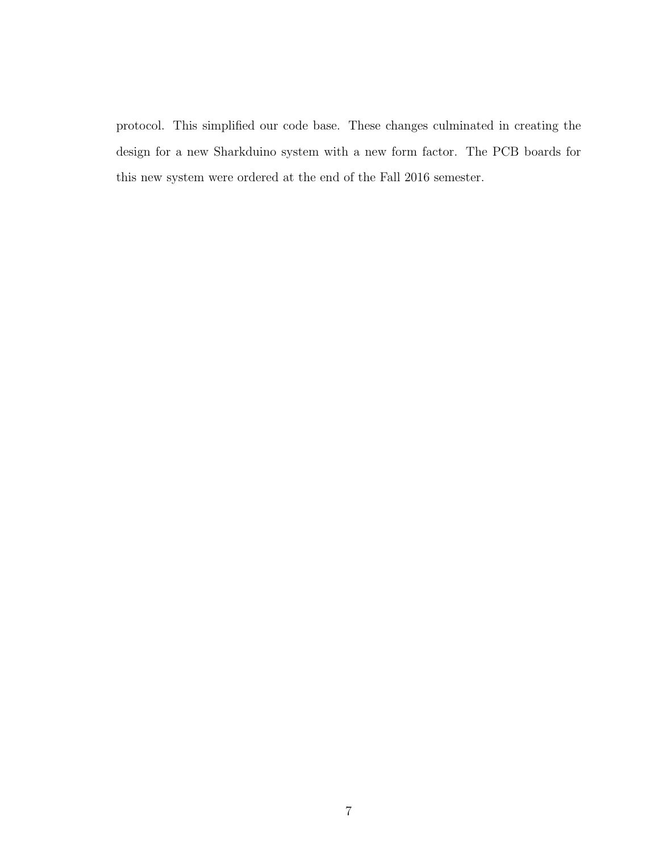protocol. This simplified our code base. These changes culminated in creating the design for a new Sharkduino system with a new form factor. The PCB boards for this new system were ordered at the end of the Fall 2016 semester.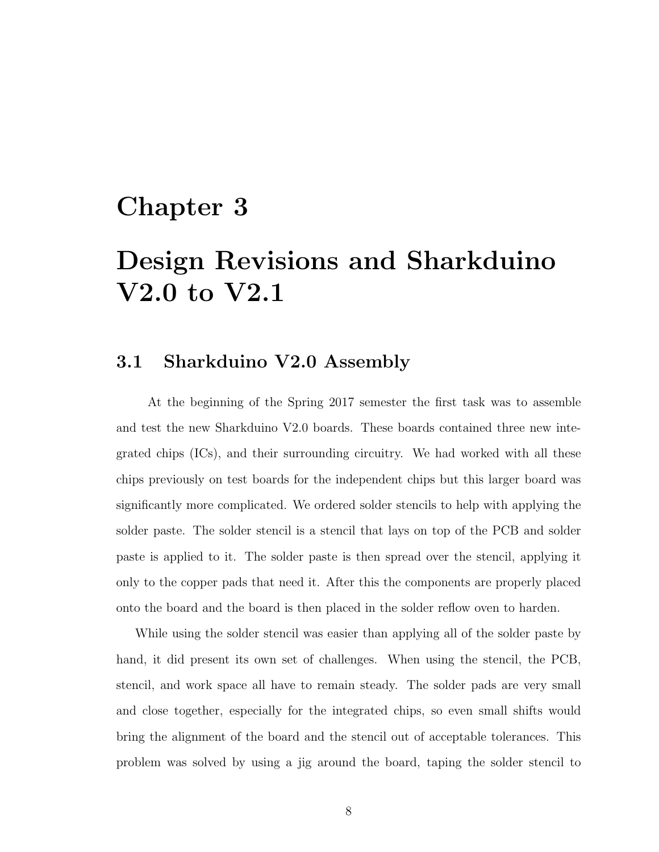### <span id="page-15-0"></span>Chapter 3

## Design Revisions and Sharkduino V2.0 to V2.1

#### <span id="page-15-1"></span>3.1 Sharkduino V2.0 Assembly

At the beginning of the Spring 2017 semester the first task was to assemble and test the new Sharkduino V2.0 boards. These boards contained three new integrated chips (ICs), and their surrounding circuitry. We had worked with all these chips previously on test boards for the independent chips but this larger board was significantly more complicated. We ordered solder stencils to help with applying the solder paste. The solder stencil is a stencil that lays on top of the PCB and solder paste is applied to it. The solder paste is then spread over the stencil, applying it only to the copper pads that need it. After this the components are properly placed onto the board and the board is then placed in the solder reflow oven to harden.

While using the solder stencil was easier than applying all of the solder paste by hand, it did present its own set of challenges. When using the stencil, the PCB, stencil, and work space all have to remain steady. The solder pads are very small and close together, especially for the integrated chips, so even small shifts would bring the alignment of the board and the stencil out of acceptable tolerances. This problem was solved by using a jig around the board, taping the solder stencil to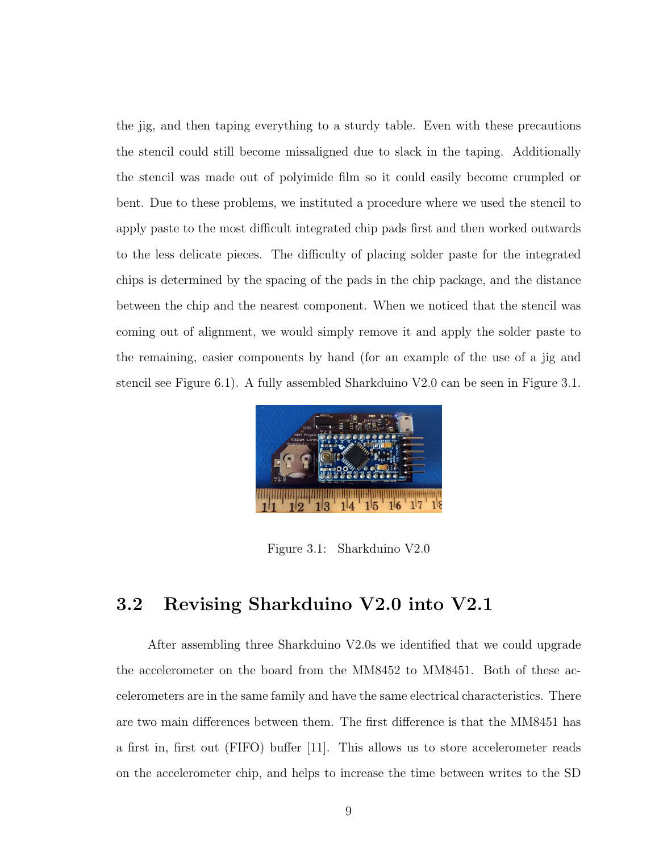the jig, and then taping everything to a sturdy table. Even with these precautions the stencil could still become missaligned due to slack in the taping. Additionally the stencil was made out of polyimide film so it could easily become crumpled or bent. Due to these problems, we instituted a procedure where we used the stencil to apply paste to the most difficult integrated chip pads first and then worked outwards to the less delicate pieces. The difficulty of placing solder paste for the integrated chips is determined by the spacing of the pads in the chip package, and the distance between the chip and the nearest component. When we noticed that the stencil was coming out of alignment, we would simply remove it and apply the solder paste to the remaining, easier components by hand (for an example of the use of a jig and stencil see Figure [6.1\)](#page-29-0). A fully assembled Sharkduino V2.0 can be seen in Figure [3.1.](#page-16-1)

<span id="page-16-1"></span>

Figure 3.1: Sharkduino V2.0

#### <span id="page-16-0"></span>3.2 Revising Sharkduino V2.0 into V2.1

After assembling three Sharkduino V2.0s we identified that we could upgrade the accelerometer on the board from the MM8452 to MM8451. Both of these accelerometers are in the same family and have the same electrical characteristics. There are two main differences between them. The first difference is that the MM8451 has a first in, first out (FIFO) buffer [\[11\]](#page-39-10). This allows us to store accelerometer reads on the accelerometer chip, and helps to increase the time between writes to the SD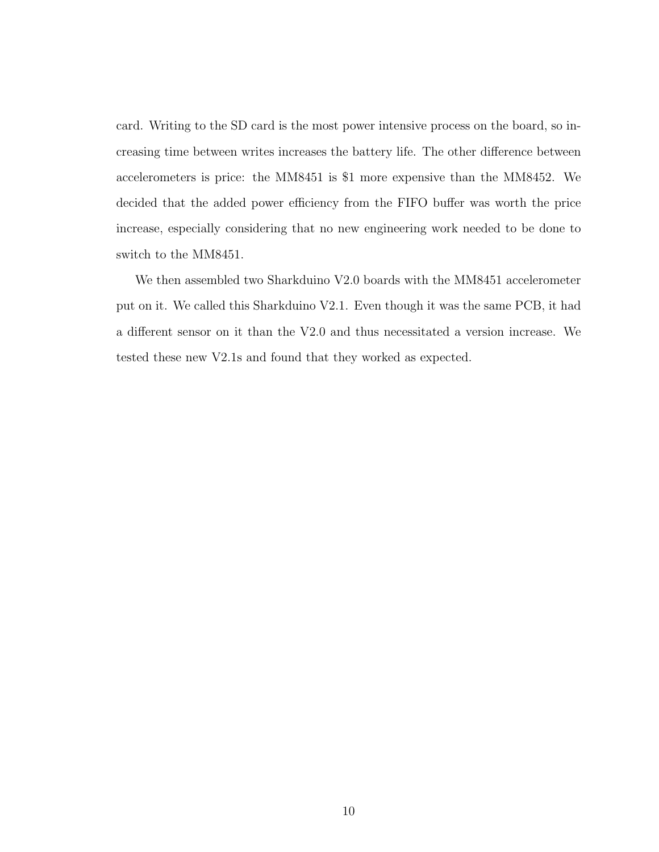card. Writing to the SD card is the most power intensive process on the board, so increasing time between writes increases the battery life. The other difference between accelerometers is price: the MM8451 is \$1 more expensive than the MM8452. We decided that the added power efficiency from the FIFO buffer was worth the price increase, especially considering that no new engineering work needed to be done to switch to the MM8451.

We then assembled two Sharkduino V2.0 boards with the MM8451 accelerometer put on it. We called this Sharkduino V2.1. Even though it was the same PCB, it had a different sensor on it than the V2.0 and thus necessitated a version increase. We tested these new V2.1s and found that they worked as expected.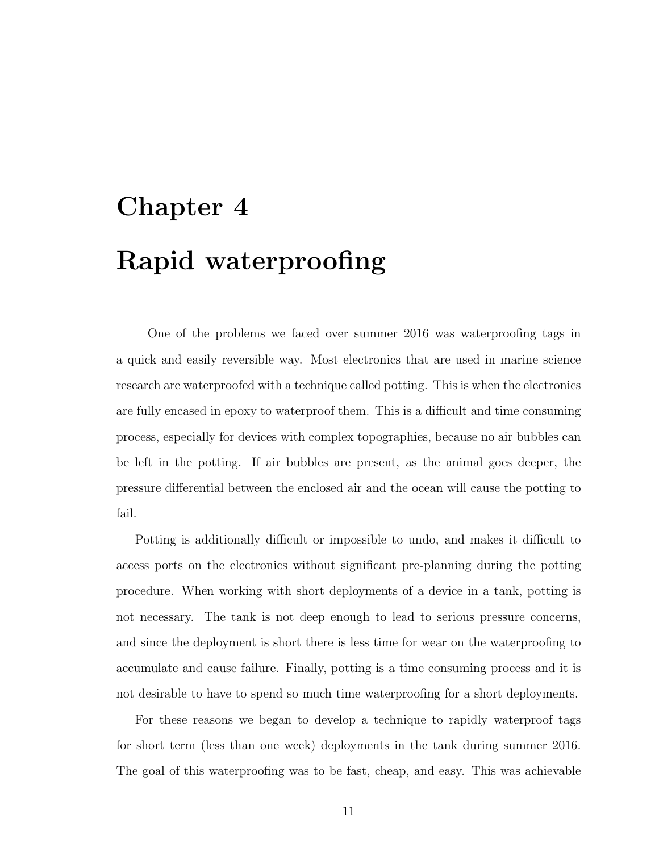# <span id="page-18-0"></span>Chapter 4 Rapid waterproofing

One of the problems we faced over summer 2016 was waterproofing tags in a quick and easily reversible way. Most electronics that are used in marine science research are waterproofed with a technique called potting. This is when the electronics are fully encased in epoxy to waterproof them. This is a difficult and time consuming process, especially for devices with complex topographies, because no air bubbles can be left in the potting. If air bubbles are present, as the animal goes deeper, the pressure differential between the enclosed air and the ocean will cause the potting to fail.

Potting is additionally difficult or impossible to undo, and makes it difficult to access ports on the electronics without significant pre-planning during the potting procedure. When working with short deployments of a device in a tank, potting is not necessary. The tank is not deep enough to lead to serious pressure concerns, and since the deployment is short there is less time for wear on the waterproofing to accumulate and cause failure. Finally, potting is a time consuming process and it is not desirable to have to spend so much time waterproofing for a short deployments.

For these reasons we began to develop a technique to rapidly waterproof tags for short term (less than one week) deployments in the tank during summer 2016. The goal of this waterproofing was to be fast, cheap, and easy. This was achievable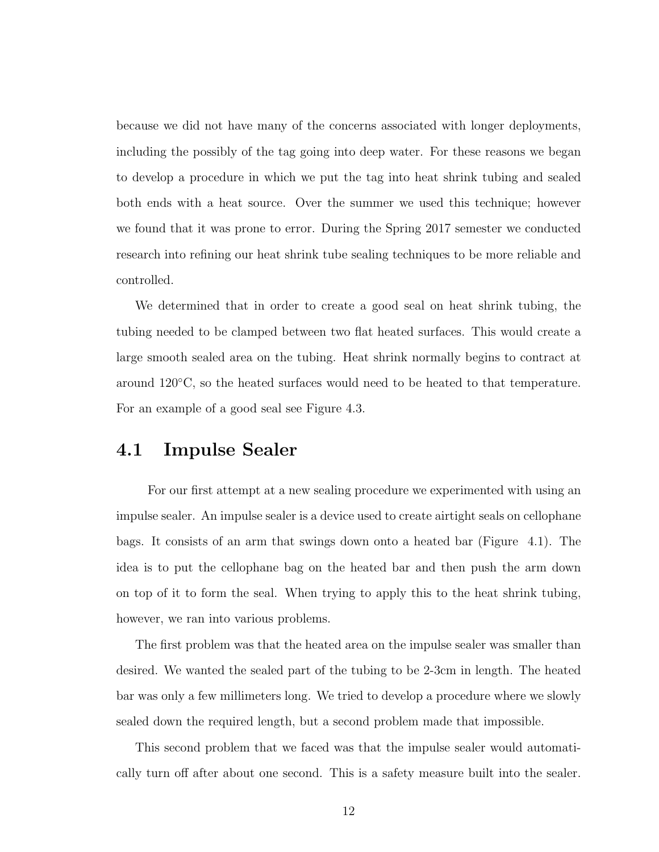because we did not have many of the concerns associated with longer deployments, including the possibly of the tag going into deep water. For these reasons we began to develop a procedure in which we put the tag into heat shrink tubing and sealed both ends with a heat source. Over the summer we used this technique; however we found that it was prone to error. During the Spring 2017 semester we conducted research into refining our heat shrink tube sealing techniques to be more reliable and controlled.

We determined that in order to create a good seal on heat shrink tubing, the tubing needed to be clamped between two flat heated surfaces. This would create a large smooth sealed area on the tubing. Heat shrink normally begins to contract at around 120◦C, so the heated surfaces would need to be heated to that temperature. For an example of a good seal see Figure [4.3.](#page-22-0)

#### <span id="page-19-0"></span>4.1 Impulse Sealer

For our first attempt at a new sealing procedure we experimented with using an impulse sealer. An impulse sealer is a device used to create airtight seals on cellophane bags. It consists of an arm that swings down onto a heated bar (Figure [4.1\)](#page-20-1). The idea is to put the cellophane bag on the heated bar and then push the arm down on top of it to form the seal. When trying to apply this to the heat shrink tubing, however, we ran into various problems.

The first problem was that the heated area on the impulse sealer was smaller than desired. We wanted the sealed part of the tubing to be 2-3cm in length. The heated bar was only a few millimeters long. We tried to develop a procedure where we slowly sealed down the required length, but a second problem made that impossible.

This second problem that we faced was that the impulse sealer would automatically turn off after about one second. This is a safety measure built into the sealer.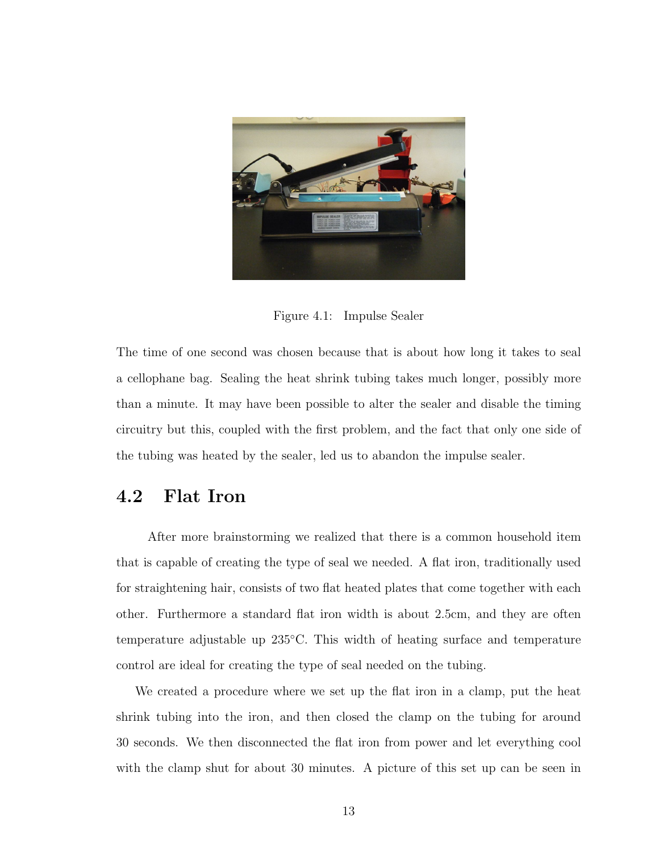

Figure 4.1: Impulse Sealer

<span id="page-20-1"></span>The time of one second was chosen because that is about how long it takes to seal a cellophane bag. Sealing the heat shrink tubing takes much longer, possibly more than a minute. It may have been possible to alter the sealer and disable the timing circuitry but this, coupled with the first problem, and the fact that only one side of the tubing was heated by the sealer, led us to abandon the impulse sealer.

#### <span id="page-20-0"></span>4.2 Flat Iron

After more brainstorming we realized that there is a common household item that is capable of creating the type of seal we needed. A flat iron, traditionally used for straightening hair, consists of two flat heated plates that come together with each other. Furthermore a standard flat iron width is about 2.5cm, and they are often temperature adjustable up 235◦C. This width of heating surface and temperature control are ideal for creating the type of seal needed on the tubing.

We created a procedure where we set up the flat iron in a clamp, put the heat shrink tubing into the iron, and then closed the clamp on the tubing for around 30 seconds. We then disconnected the flat iron from power and let everything cool with the clamp shut for about 30 minutes. A picture of this set up can be seen in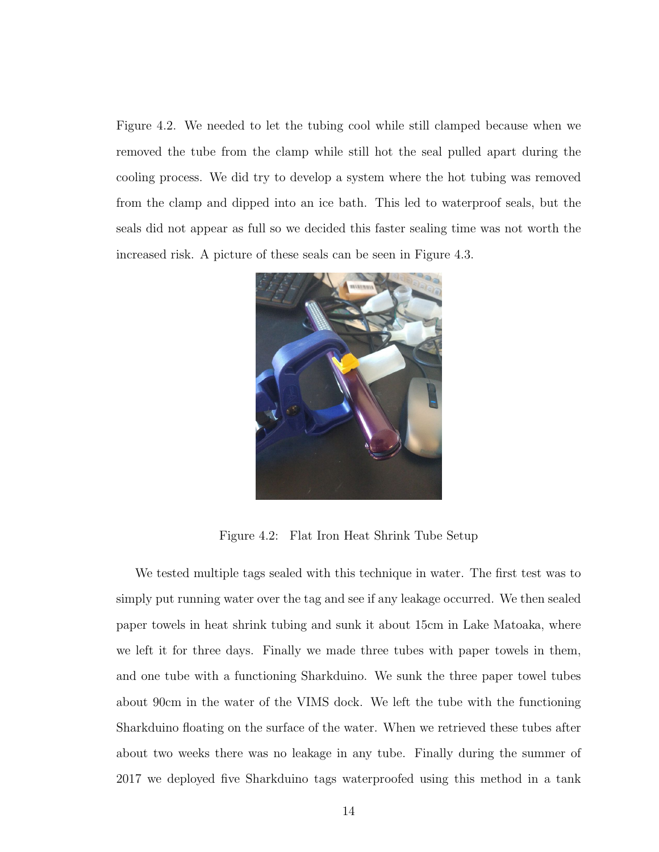Figure [4.2.](#page-21-0) We needed to let the tubing cool while still clamped because when we removed the tube from the clamp while still hot the seal pulled apart during the cooling process. We did try to develop a system where the hot tubing was removed from the clamp and dipped into an ice bath. This led to waterproof seals, but the seals did not appear as full so we decided this faster sealing time was not worth the increased risk. A picture of these seals can be seen in Figure [4.3.](#page-22-0)



Figure 4.2: Flat Iron Heat Shrink Tube Setup

<span id="page-21-0"></span>We tested multiple tags sealed with this technique in water. The first test was to simply put running water over the tag and see if any leakage occurred. We then sealed paper towels in heat shrink tubing and sunk it about 15cm in Lake Matoaka, where we left it for three days. Finally we made three tubes with paper towels in them, and one tube with a functioning Sharkduino. We sunk the three paper towel tubes about 90cm in the water of the VIMS dock. We left the tube with the functioning Sharkduino floating on the surface of the water. When we retrieved these tubes after about two weeks there was no leakage in any tube. Finally during the summer of 2017 we deployed five Sharkduino tags waterproofed using this method in a tank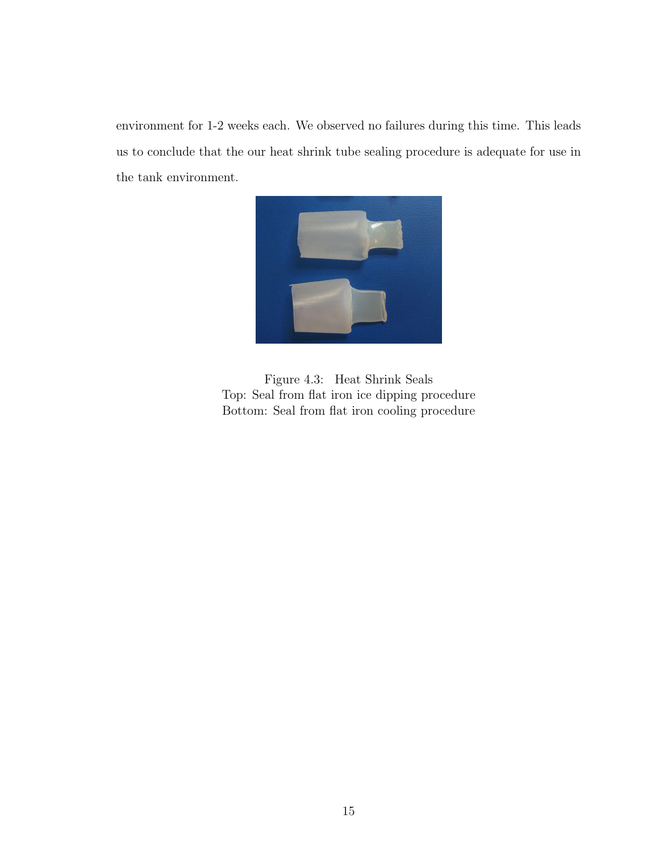environment for 1-2 weeks each. We observed no failures during this time. This leads us to conclude that the our heat shrink tube sealing procedure is adequate for use in the tank environment.

<span id="page-22-0"></span>

Figure 4.3: Heat Shrink Seals Top: Seal from flat iron ice dipping procedure Bottom: Seal from flat iron cooling procedure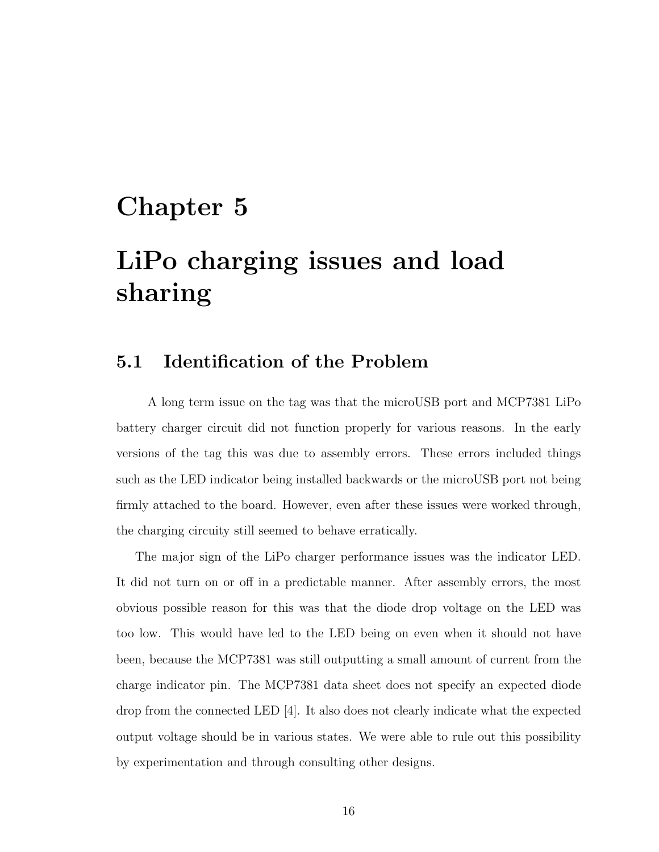## <span id="page-23-0"></span>Chapter 5

## LiPo charging issues and load sharing

#### <span id="page-23-1"></span>5.1 Identification of the Problem

A long term issue on the tag was that the microUSB port and MCP7381 LiPo battery charger circuit did not function properly for various reasons. In the early versions of the tag this was due to assembly errors. These errors included things such as the LED indicator being installed backwards or the microUSB port not being firmly attached to the board. However, even after these issues were worked through, the charging circuity still seemed to behave erratically.

The major sign of the LiPo charger performance issues was the indicator LED. It did not turn on or off in a predictable manner. After assembly errors, the most obvious possible reason for this was that the diode drop voltage on the LED was too low. This would have led to the LED being on even when it should not have been, because the MCP7381 was still outputting a small amount of current from the charge indicator pin. The MCP7381 data sheet does not specify an expected diode drop from the connected LED [\[4\]](#page-39-3). It also does not clearly indicate what the expected output voltage should be in various states. We were able to rule out this possibility by experimentation and through consulting other designs.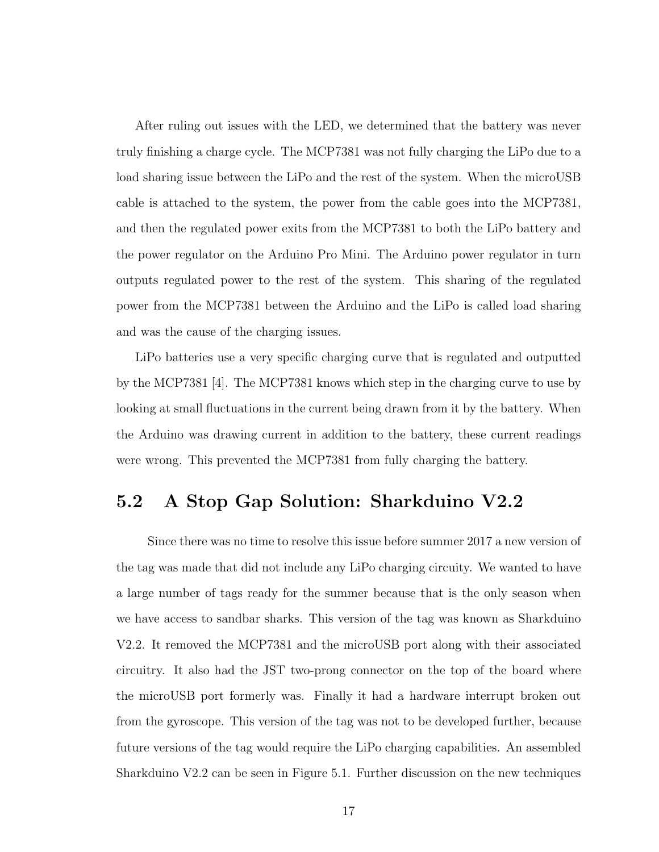After ruling out issues with the LED, we determined that the battery was never truly finishing a charge cycle. The MCP7381 was not fully charging the LiPo due to a load sharing issue between the LiPo and the rest of the system. When the microUSB cable is attached to the system, the power from the cable goes into the MCP7381, and then the regulated power exits from the MCP7381 to both the LiPo battery and the power regulator on the Arduino Pro Mini. The Arduino power regulator in turn outputs regulated power to the rest of the system. This sharing of the regulated power from the MCP7381 between the Arduino and the LiPo is called load sharing and was the cause of the charging issues.

LiPo batteries use a very specific charging curve that is regulated and outputted by the MCP7381 [\[4\]](#page-39-3). The MCP7381 knows which step in the charging curve to use by looking at small fluctuations in the current being drawn from it by the battery. When the Arduino was drawing current in addition to the battery, these current readings were wrong. This prevented the MCP7381 from fully charging the battery.

#### <span id="page-24-0"></span>5.2 A Stop Gap Solution: Sharkduino V2.2

Since there was no time to resolve this issue before summer 2017 a new version of the tag was made that did not include any LiPo charging circuity. We wanted to have a large number of tags ready for the summer because that is the only season when we have access to sandbar sharks. This version of the tag was known as Sharkduino V2.2. It removed the MCP7381 and the microUSB port along with their associated circuitry. It also had the JST two-prong connector on the top of the board where the microUSB port formerly was. Finally it had a hardware interrupt broken out from the gyroscope. This version of the tag was not to be developed further, because future versions of the tag would require the LiPo charging capabilities. An assembled Sharkduino V2.2 can be seen in Figure [5.1.](#page-25-1) Further discussion on the new techniques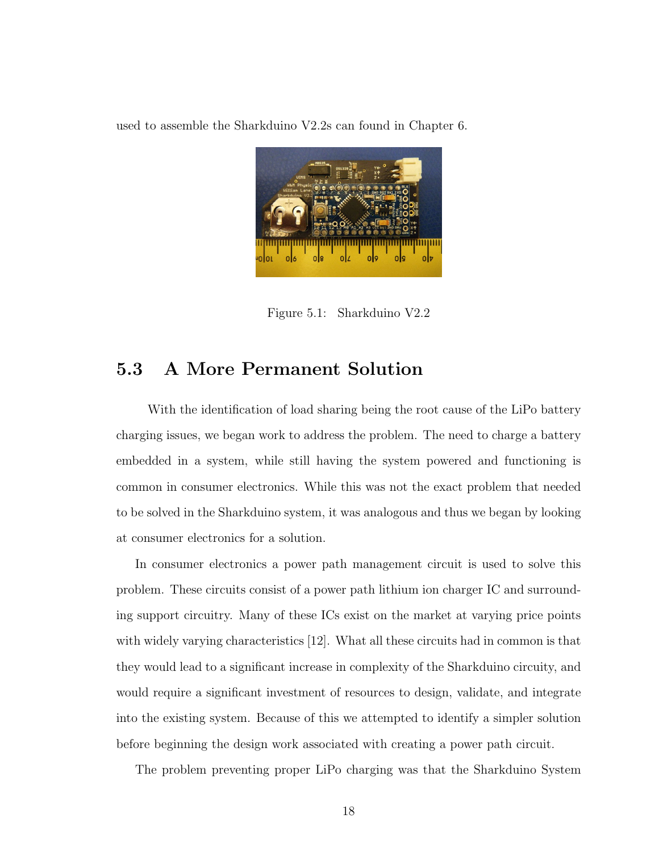used to assemble the Sharkduino V2.2s can found in Chapter [6.](#page-27-0)

<span id="page-25-1"></span>

Figure 5.1: Sharkduino V2.2

#### <span id="page-25-0"></span>5.3 A More Permanent Solution

With the identification of load sharing being the root cause of the LiPo battery charging issues, we began work to address the problem. The need to charge a battery embedded in a system, while still having the system powered and functioning is common in consumer electronics. While this was not the exact problem that needed to be solved in the Sharkduino system, it was analogous and thus we began by looking at consumer electronics for a solution.

In consumer electronics a power path management circuit is used to solve this problem. These circuits consist of a power path lithium ion charger IC and surrounding support circuitry. Many of these ICs exist on the market at varying price points with widely varying characteristics [\[12\]](#page-39-11). What all these circuits had in common is that they would lead to a significant increase in complexity of the Sharkduino circuity, and would require a significant investment of resources to design, validate, and integrate into the existing system. Because of this we attempted to identify a simpler solution before beginning the design work associated with creating a power path circuit.

The problem preventing proper LiPo charging was that the Sharkduino System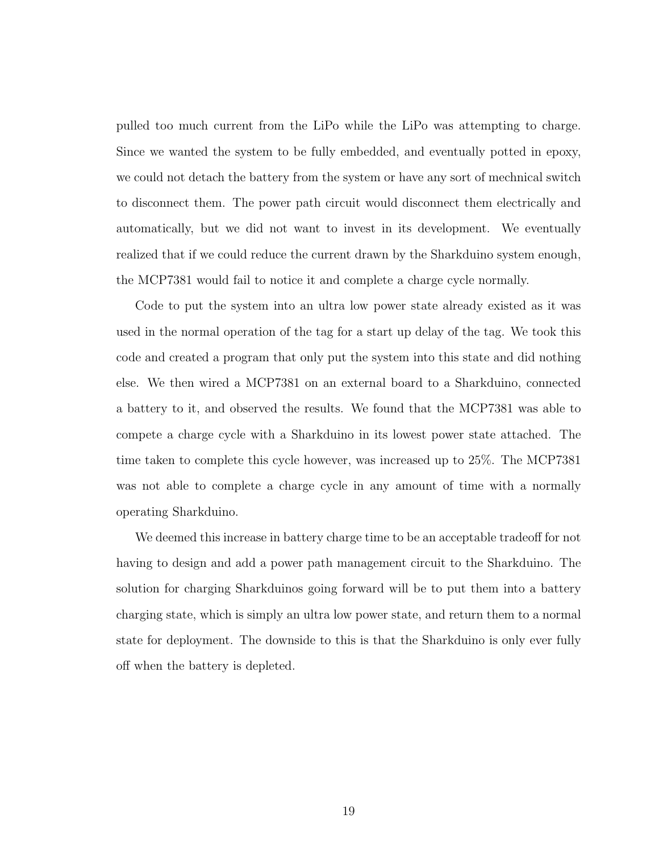pulled too much current from the LiPo while the LiPo was attempting to charge. Since we wanted the system to be fully embedded, and eventually potted in epoxy, we could not detach the battery from the system or have any sort of mechnical switch to disconnect them. The power path circuit would disconnect them electrically and automatically, but we did not want to invest in its development. We eventually realized that if we could reduce the current drawn by the Sharkduino system enough, the MCP7381 would fail to notice it and complete a charge cycle normally.

Code to put the system into an ultra low power state already existed as it was used in the normal operation of the tag for a start up delay of the tag. We took this code and created a program that only put the system into this state and did nothing else. We then wired a MCP7381 on an external board to a Sharkduino, connected a battery to it, and observed the results. We found that the MCP7381 was able to compete a charge cycle with a Sharkduino in its lowest power state attached. The time taken to complete this cycle however, was increased up to 25%. The MCP7381 was not able to complete a charge cycle in any amount of time with a normally operating Sharkduino.

We deemed this increase in battery charge time to be an acceptable tradeoff for not having to design and add a power path management circuit to the Sharkduino. The solution for charging Sharkduinos going forward will be to put them into a battery charging state, which is simply an ultra low power state, and return them to a normal state for deployment. The downside to this is that the Sharkduino is only ever fully off when the battery is depleted.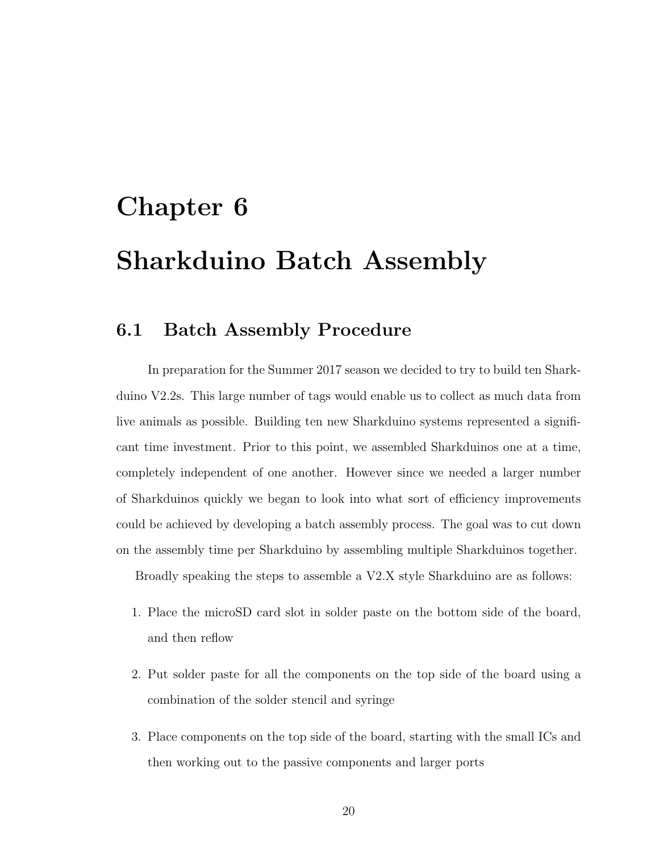# <span id="page-27-0"></span>Chapter 6 Sharkduino Batch Assembly

#### <span id="page-27-1"></span>6.1 Batch Assembly Procedure

In preparation for the Summer 2017 season we decided to try to build ten Sharkduino V2.2s. This large number of tags would enable us to collect as much data from live animals as possible. Building ten new Sharkduino systems represented a significant time investment. Prior to this point, we assembled Sharkduinos one at a time, completely independent of one another. However since we needed a larger number of Sharkduinos quickly we began to look into what sort of efficiency improvements could be achieved by developing a batch assembly process. The goal was to cut down on the assembly time per Sharkduino by assembling multiple Sharkduinos together.

Broadly speaking the steps to assemble a V2.X style Sharkduino are as follows:

- 1. Place the microSD card slot in solder paste on the bottom side of the board, and then reflow
- 2. Put solder paste for all the components on the top side of the board using a combination of the solder stencil and syringe
- 3. Place components on the top side of the board, starting with the small ICs and then working out to the passive components and larger ports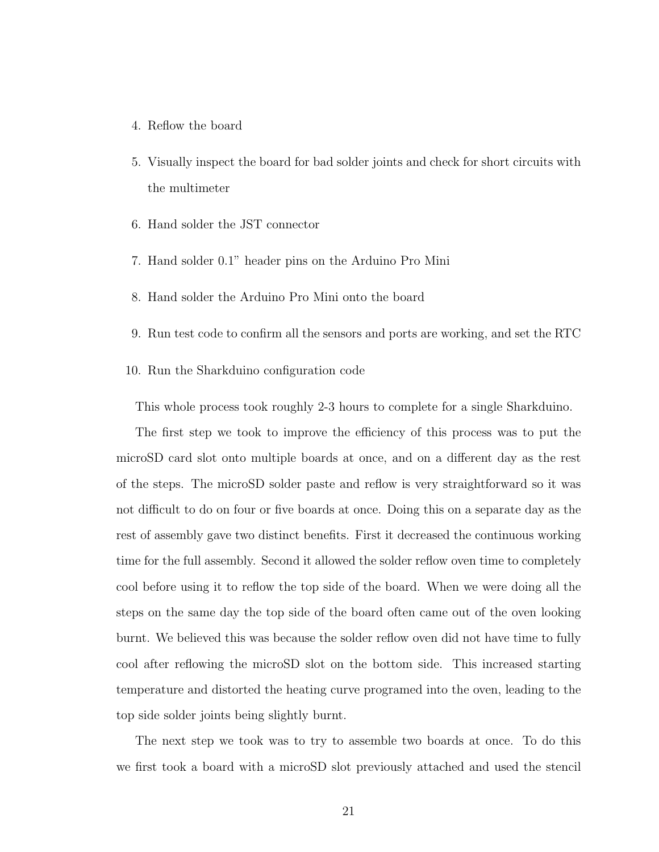- 4. Reflow the board
- 5. Visually inspect the board for bad solder joints and check for short circuits with the multimeter
- 6. Hand solder the JST connector
- 7. Hand solder 0.1" header pins on the Arduino Pro Mini
- 8. Hand solder the Arduino Pro Mini onto the board
- 9. Run test code to confirm all the sensors and ports are working, and set the RTC
- 10. Run the Sharkduino configuration code

This whole process took roughly 2-3 hours to complete for a single Sharkduino.

The first step we took to improve the efficiency of this process was to put the microSD card slot onto multiple boards at once, and on a different day as the rest of the steps. The microSD solder paste and reflow is very straightforward so it was not difficult to do on four or five boards at once. Doing this on a separate day as the rest of assembly gave two distinct benefits. First it decreased the continuous working time for the full assembly. Second it allowed the solder reflow oven time to completely cool before using it to reflow the top side of the board. When we were doing all the steps on the same day the top side of the board often came out of the oven looking burnt. We believed this was because the solder reflow oven did not have time to fully cool after reflowing the microSD slot on the bottom side. This increased starting temperature and distorted the heating curve programed into the oven, leading to the top side solder joints being slightly burnt.

The next step we took was to try to assemble two boards at once. To do this we first took a board with a microSD slot previously attached and used the stencil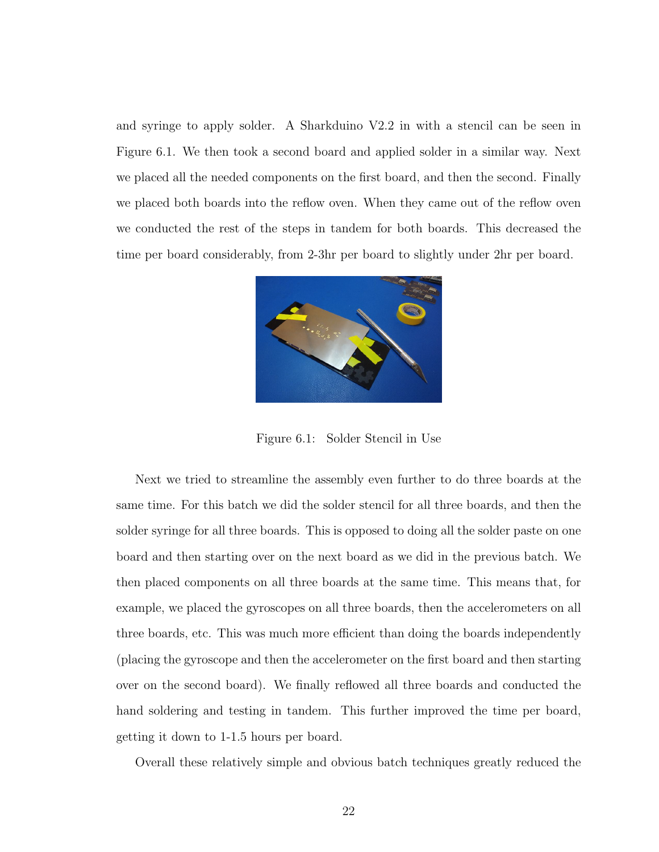and syringe to apply solder. A Sharkduino V2.2 in with a stencil can be seen in Figure [6.1.](#page-29-0) We then took a second board and applied solder in a similar way. Next we placed all the needed components on the first board, and then the second. Finally we placed both boards into the reflow oven. When they came out of the reflow oven we conducted the rest of the steps in tandem for both boards. This decreased the time per board considerably, from 2-3hr per board to slightly under 2hr per board.

<span id="page-29-0"></span>

Figure 6.1: Solder Stencil in Use

Next we tried to streamline the assembly even further to do three boards at the same time. For this batch we did the solder stencil for all three boards, and then the solder syringe for all three boards. This is opposed to doing all the solder paste on one board and then starting over on the next board as we did in the previous batch. We then placed components on all three boards at the same time. This means that, for example, we placed the gyroscopes on all three boards, then the accelerometers on all three boards, etc. This was much more efficient than doing the boards independently (placing the gyroscope and then the accelerometer on the first board and then starting over on the second board). We finally reflowed all three boards and conducted the hand soldering and testing in tandem. This further improved the time per board, getting it down to 1-1.5 hours per board.

Overall these relatively simple and obvious batch techniques greatly reduced the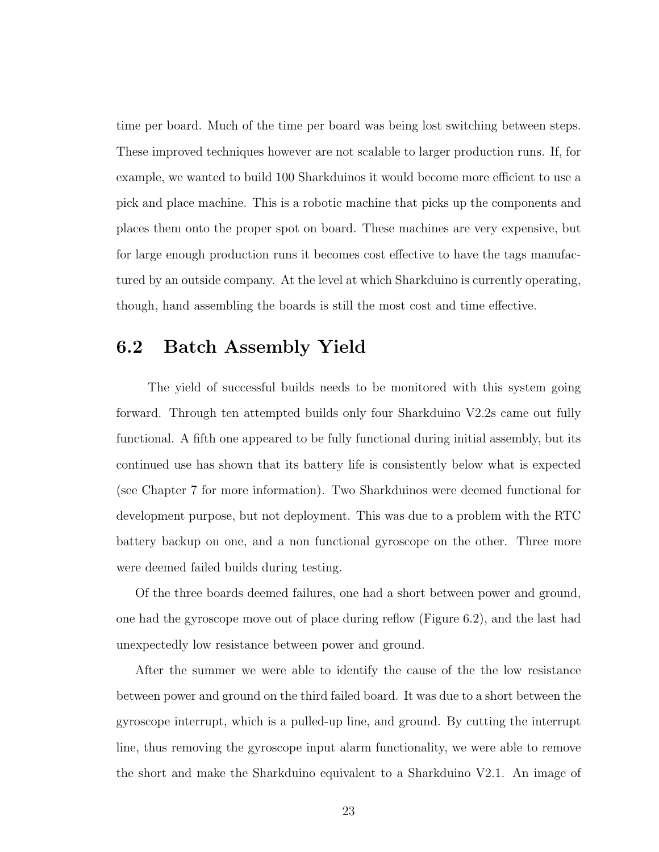time per board. Much of the time per board was being lost switching between steps. These improved techniques however are not scalable to larger production runs. If, for example, we wanted to build 100 Sharkduinos it would become more efficient to use a pick and place machine. This is a robotic machine that picks up the components and places them onto the proper spot on board. These machines are very expensive, but for large enough production runs it becomes cost effective to have the tags manufactured by an outside company. At the level at which Sharkduino is currently operating, though, hand assembling the boards is still the most cost and time effective.

#### <span id="page-30-0"></span>6.2 Batch Assembly Yield

The yield of successful builds needs to be monitored with this system going forward. Through ten attempted builds only four Sharkduino V2.2s came out fully functional. A fifth one appeared to be fully functional during initial assembly, but its continued use has shown that its battery life is consistently below what is expected (see Chapter [7](#page-33-0) for more information). Two Sharkduinos were deemed functional for development purpose, but not deployment. This was due to a problem with the RTC battery backup on one, and a non functional gyroscope on the other. Three more were deemed failed builds during testing.

Of the three boards deemed failures, one had a short between power and ground, one had the gyroscope move out of place during reflow (Figure [6.2\)](#page-31-0), and the last had unexpectedly low resistance between power and ground.

After the summer we were able to identify the cause of the the low resistance between power and ground on the third failed board. It was due to a short between the gyroscope interrupt, which is a pulled-up line, and ground. By cutting the interrupt line, thus removing the gyroscope input alarm functionality, we were able to remove the short and make the Sharkduino equivalent to a Sharkduino V2.1. An image of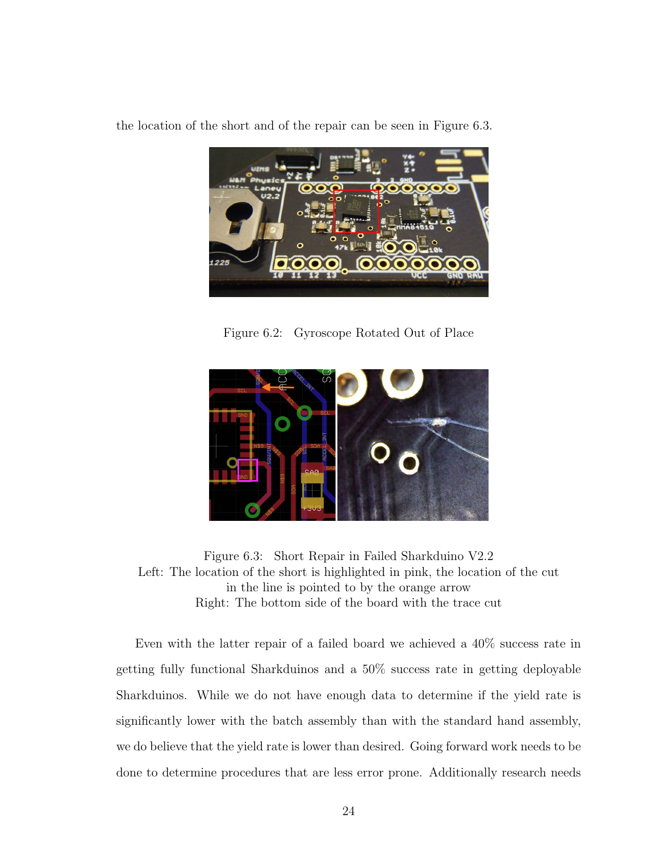the location of the short and of the repair can be seen in Figure [6.3.](#page-31-1)



Figure 6.2: Gyroscope Rotated Out of Place

<span id="page-31-0"></span>

<span id="page-31-1"></span>Figure 6.3: Short Repair in Failed Sharkduino V2.2 Left: The location of the short is highlighted in pink, the location of the cut in the line is pointed to by the orange arrow Right: The bottom side of the board with the trace cut

Even with the latter repair of a failed board we achieved a 40% success rate in getting fully functional Sharkduinos and a 50% success rate in getting deployable Sharkduinos. While we do not have enough data to determine if the yield rate is significantly lower with the batch assembly than with the standard hand assembly, we do believe that the yield rate is lower than desired. Going forward work needs to be done to determine procedures that are less error prone. Additionally research needs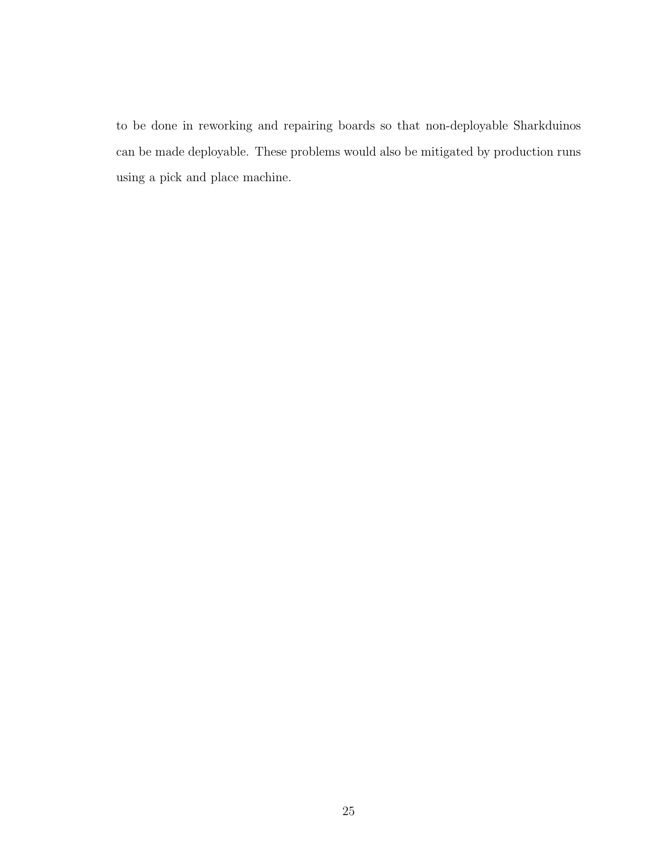to be done in reworking and repairing boards so that non-deployable Sharkduinos can be made deployable. These problems would also be mitigated by production runs using a pick and place machine.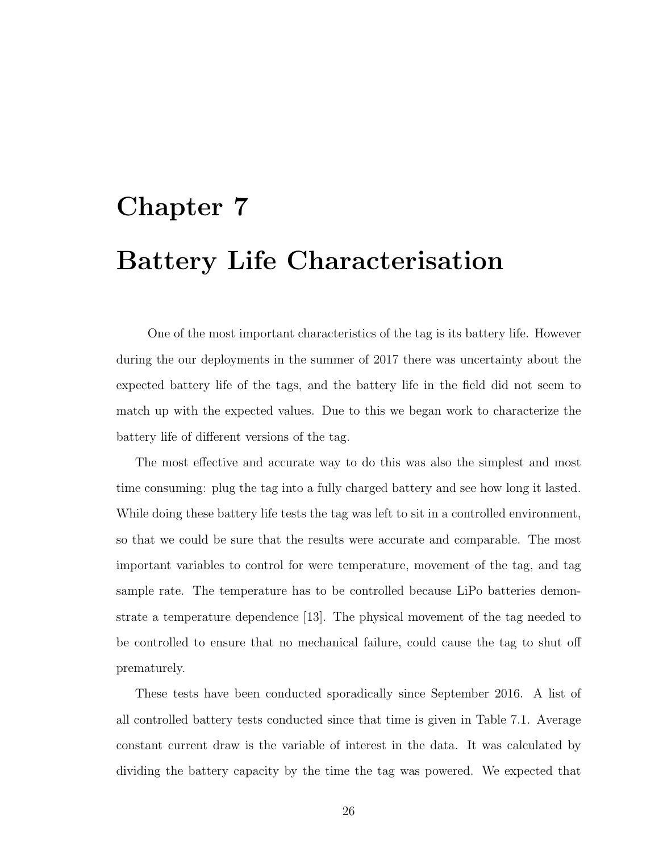# <span id="page-33-0"></span>Chapter 7 Battery Life Characterisation

One of the most important characteristics of the tag is its battery life. However during the our deployments in the summer of 2017 there was uncertainty about the expected battery life of the tags, and the battery life in the field did not seem to match up with the expected values. Due to this we began work to characterize the battery life of different versions of the tag.

The most effective and accurate way to do this was also the simplest and most time consuming: plug the tag into a fully charged battery and see how long it lasted. While doing these battery life tests the tag was left to sit in a controlled environment, so that we could be sure that the results were accurate and comparable. The most important variables to control for were temperature, movement of the tag, and tag sample rate. The temperature has to be controlled because LiPo batteries demonstrate a temperature dependence [\[13\]](#page-39-12). The physical movement of the tag needed to be controlled to ensure that no mechanical failure, could cause the tag to shut off prematurely.

These tests have been conducted sporadically since September 2016. A list of all controlled battery tests conducted since that time is given in Table [7.1.](#page-34-0) Average constant current draw is the variable of interest in the data. It was calculated by dividing the battery capacity by the time the tag was powered. We expected that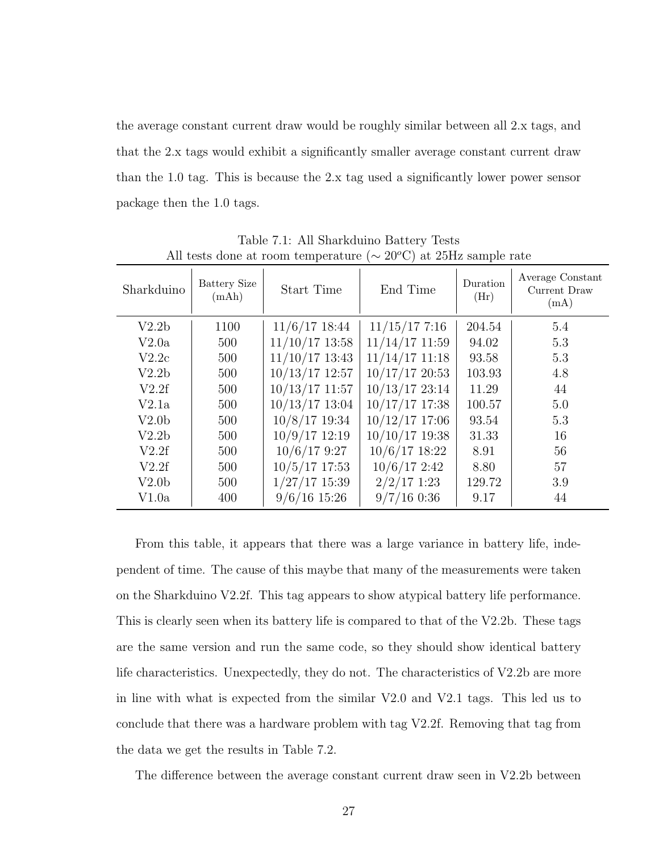the average constant current draw would be roughly similar between all 2.x tags, and that the 2.x tags would exhibit a significantly smaller average constant current draw than the 1.0 tag. This is because the 2.x tag used a significantly lower power sensor package then the 1.0 tags.

| All tests done at room temperature ( $\sim$ 20 C) at 2011 sample rate |                              |                  |                  |                  |                                          |  |
|-----------------------------------------------------------------------|------------------------------|------------------|------------------|------------------|------------------------------------------|--|
| Sharkduino                                                            | <b>Battery Size</b><br>(mAh) | Start Time       | End Time         | Duration<br>(Hr) | Average Constant<br>Current Draw<br>(mA) |  |
| V2.2 <sub>b</sub>                                                     | 1100                         | $11/6/17$ 18:44  | $11/15/17$ 7:16  | 204.54           | 5.4                                      |  |
| V2.0a                                                                 | 500                          | $11/10/17$ 13:58 | $11/14/17$ 11:59 | 94.02            | 5.3                                      |  |
| V2.2c                                                                 | 500                          | $11/10/17$ 13:43 | $11/14/17$ 11:18 | 93.58            | 5.3                                      |  |
| V2.2 <sub>b</sub>                                                     | 500                          | $10/13/17$ 12:57 | $10/17/17$ 20:53 | 103.93           | 4.8                                      |  |
| V2.2f                                                                 | 500                          | $10/13/17$ 11:57 | $10/13/17$ 23:14 | 11.29            | 44                                       |  |
| V2.1a                                                                 | 500                          | $10/13/17$ 13:04 | $10/17/17$ 17:38 | 100.57           | 5.0                                      |  |
| V2.0 <sub>b</sub>                                                     | 500                          | $10/8/17$ 19:34  | $10/12/17$ 17:06 | 93.54            | 5.3                                      |  |
| V2.2 <sub>b</sub>                                                     | 500                          | $10/9/17$ 12:19  | $10/10/17$ 19:38 | 31.33            | 16                                       |  |
| V2.2f                                                                 | 500                          | $10/6/17$ 9:27   | $10/6/17$ 18:22  | 8.91             | 56                                       |  |
| V2.2f                                                                 | 500                          | $10/5/17$ 17:53  | $10/6/17$ 2:42   | 8.80             | 57                                       |  |
| V2.0 <sub>b</sub>                                                     | 500                          | $1/27/17$ 15:39  | $2/2/17$ 1:23    | 129.72           | 3.9                                      |  |
| V1.0a                                                                 | 400                          | $9/6/16$ 15:26   | $9/7/16$ 0:36    | 9.17             | 44                                       |  |

<span id="page-34-0"></span>Table 7.1: All Sharkduino Battery Tests All tests done at room temperature  $({\sim}20\degree C)$  at 25Hz sample rate

From this table, it appears that there was a large variance in battery life, independent of time. The cause of this maybe that many of the measurements were taken on the Sharkduino V2.2f. This tag appears to show atypical battery life performance. This is clearly seen when its battery life is compared to that of the V2.2b. These tags are the same version and run the same code, so they should show identical battery life characteristics. Unexpectedly, they do not. The characteristics of V2.2b are more in line with what is expected from the similar V2.0 and V2.1 tags. This led us to conclude that there was a hardware problem with tag V2.2f. Removing that tag from the data we get the results in Table [7.2.](#page-35-0)

The difference between the average constant current draw seen in V2.2b between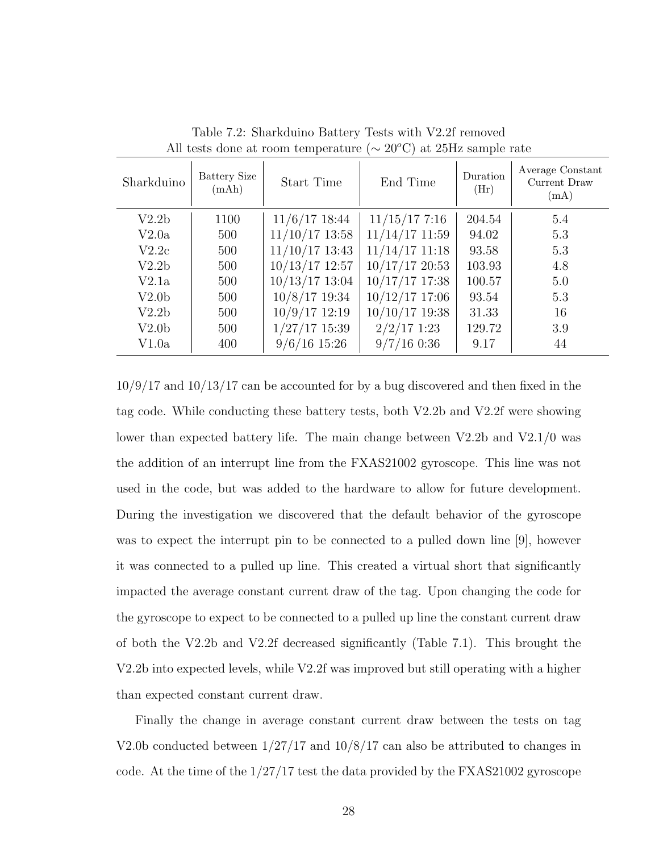| Sharkduino        | <b>Battery Size</b><br>(mAh) | Start Time       | End Time         | Duration<br>(Hr) | Average Constant<br>Current Draw<br>(mA) |
|-------------------|------------------------------|------------------|------------------|------------------|------------------------------------------|
| V2.2 <sub>b</sub> | 1100                         | $11/6/17$ 18:44  | $11/15/17$ 7:16  | 204.54           | 5.4                                      |
| V2.0a             | 500                          | $11/10/17$ 13:58 | $11/14/17$ 11:59 | 94.02            | 5.3                                      |
| V2.2c             | 500                          | $11/10/17$ 13:43 | $11/14/17$ 11:18 | 93.58            | 5.3                                      |
| V2.2 <sub>b</sub> | 500                          | $10/13/17$ 12:57 | $10/17/17$ 20:53 | 103.93           | 4.8                                      |
| V2.1a             | 500                          | $10/13/17$ 13:04 | $10/17/17$ 17:38 | 100.57           | 5.0                                      |
| V2.0 <sub>b</sub> | 500                          | $10/8/17$ 19:34  | $10/12/17$ 17:06 | 93.54            | 5.3                                      |
| V2.2 <sub>b</sub> | 500                          | $10/9/17$ 12:19  | $10/10/17$ 19:38 | 31.33            | 16                                       |
| V2.0 <sub>b</sub> | 500                          | $1/27/17$ 15:39  | $2/2/17$ 1:23    | 129.72           | 3.9                                      |
| V1.0a             | 400                          | $9/6/16$ 15:26   | $9/7/16$ 0:36    | 9.17             | 44                                       |

<span id="page-35-0"></span>Table 7.2: Sharkduino Battery Tests with V2.2f removed All tests done at room temperature ( $\sim 20^{\circ}$ C) at 25Hz sample rate

10/9/17 and 10/13/17 can be accounted for by a bug discovered and then fixed in the tag code. While conducting these battery tests, both V2.2b and V2.2f were showing lower than expected battery life. The main change between V2.2b and V2.1/0 was the addition of an interrupt line from the FXAS21002 gyroscope. This line was not used in the code, but was added to the hardware to allow for future development. During the investigation we discovered that the default behavior of the gyroscope was to expect the interrupt pin to be connected to a pulled down line [\[9\]](#page-39-8), however it was connected to a pulled up line. This created a virtual short that significantly impacted the average constant current draw of the tag. Upon changing the code for the gyroscope to expect to be connected to a pulled up line the constant current draw of both the V2.2b and V2.2f decreased significantly (Table [7.1\)](#page-34-0). This brought the V2.2b into expected levels, while V2.2f was improved but still operating with a higher than expected constant current draw.

Finally the change in average constant current draw between the tests on tag V2.0b conducted between 1/27/17 and 10/8/17 can also be attributed to changes in code. At the time of the 1/27/17 test the data provided by the FXAS21002 gyroscope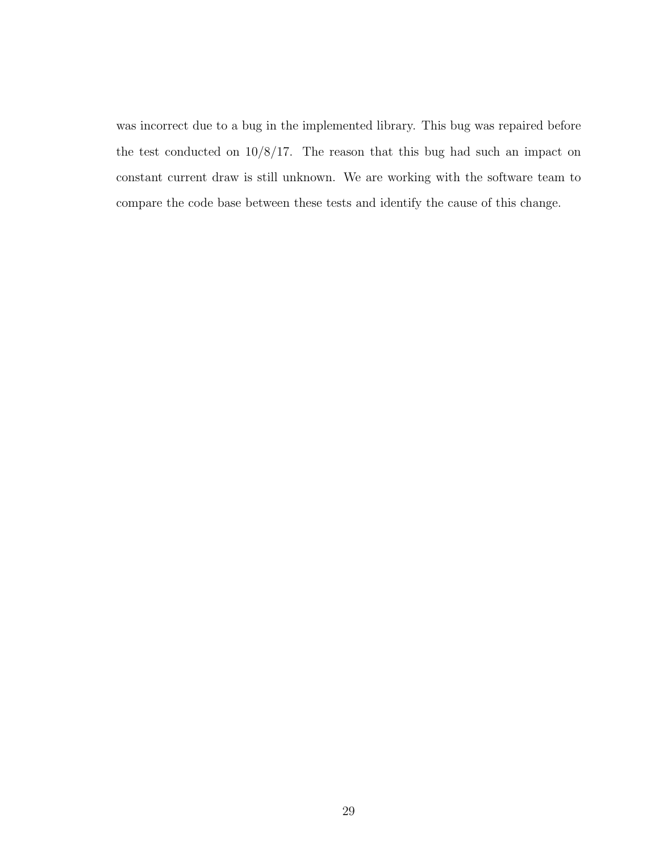was incorrect due to a bug in the implemented library. This bug was repaired before the test conducted on 10/8/17. The reason that this bug had such an impact on constant current draw is still unknown. We are working with the software team to compare the code base between these tests and identify the cause of this change.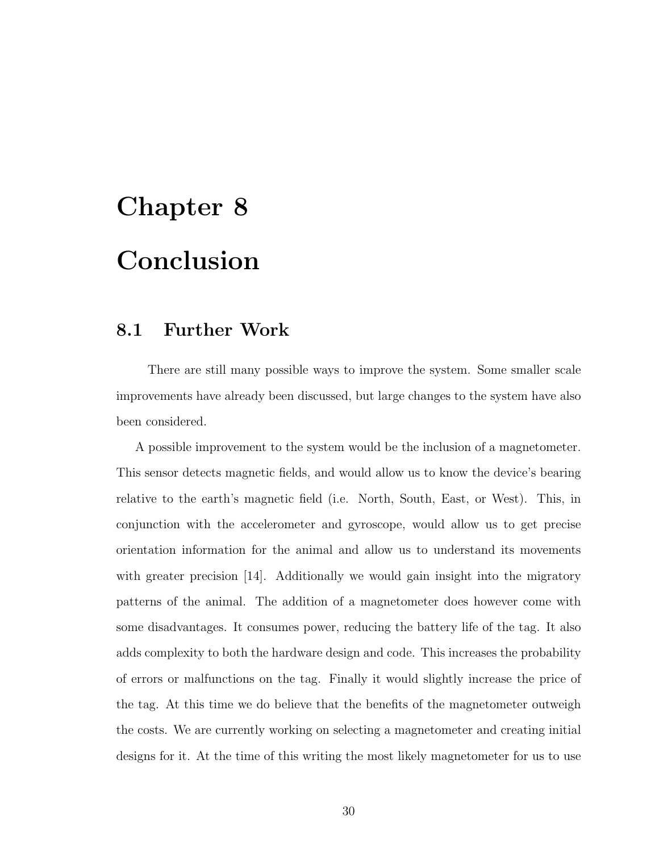# <span id="page-37-0"></span>Chapter 8 Conclusion

#### <span id="page-37-1"></span>8.1 Further Work

There are still many possible ways to improve the system. Some smaller scale improvements have already been discussed, but large changes to the system have also been considered.

A possible improvement to the system would be the inclusion of a magnetometer. This sensor detects magnetic fields, and would allow us to know the device's bearing relative to the earth's magnetic field (i.e. North, South, East, or West). This, in conjunction with the accelerometer and gyroscope, would allow us to get precise orientation information for the animal and allow us to understand its movements with greater precision [\[14\]](#page-40-0). Additionally we would gain insight into the migratory patterns of the animal. The addition of a magnetometer does however come with some disadvantages. It consumes power, reducing the battery life of the tag. It also adds complexity to both the hardware design and code. This increases the probability of errors or malfunctions on the tag. Finally it would slightly increase the price of the tag. At this time we do believe that the benefits of the magnetometer outweigh the costs. We are currently working on selecting a magnetometer and creating initial designs for it. At the time of this writing the most likely magnetometer for us to use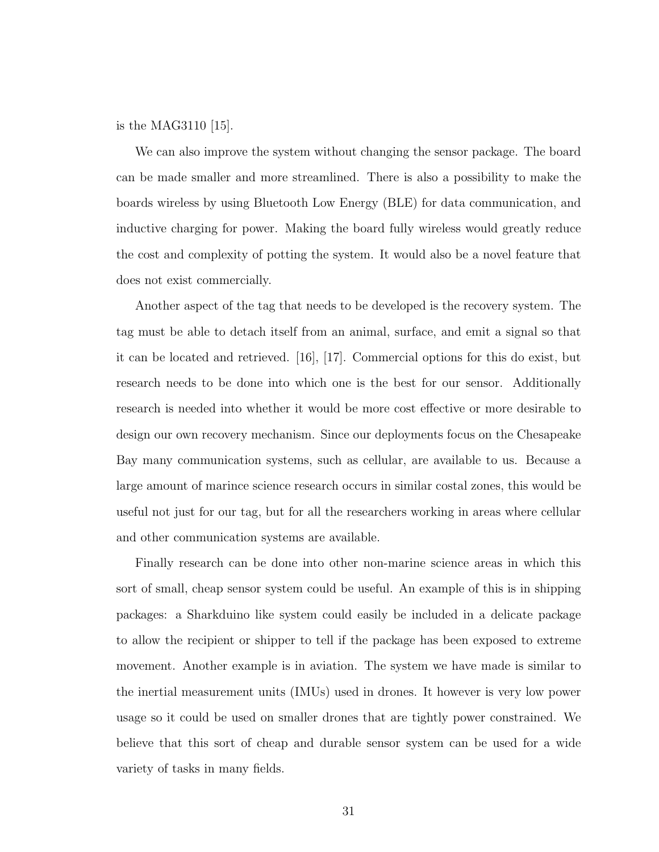is the MAG3110 [\[15\]](#page-40-1).

We can also improve the system without changing the sensor package. The board can be made smaller and more streamlined. There is also a possibility to make the boards wireless by using Bluetooth Low Energy (BLE) for data communication, and inductive charging for power. Making the board fully wireless would greatly reduce the cost and complexity of potting the system. It would also be a novel feature that does not exist commercially.

Another aspect of the tag that needs to be developed is the recovery system. The tag must be able to detach itself from an animal, surface, and emit a signal so that it can be located and retrieved. [\[16\]](#page-40-2), [\[17\]](#page-40-3). Commercial options for this do exist, but research needs to be done into which one is the best for our sensor. Additionally research is needed into whether it would be more cost effective or more desirable to design our own recovery mechanism. Since our deployments focus on the Chesapeake Bay many communication systems, such as cellular, are available to us. Because a large amount of marince science research occurs in similar costal zones, this would be useful not just for our tag, but for all the researchers working in areas where cellular and other communication systems are available.

Finally research can be done into other non-marine science areas in which this sort of small, cheap sensor system could be useful. An example of this is in shipping packages: a Sharkduino like system could easily be included in a delicate package to allow the recipient or shipper to tell if the package has been exposed to extreme movement. Another example is in aviation. The system we have made is similar to the inertial measurement units (IMUs) used in drones. It however is very low power usage so it could be used on smaller drones that are tightly power constrained. We believe that this sort of cheap and durable sensor system can be used for a wide variety of tasks in many fields.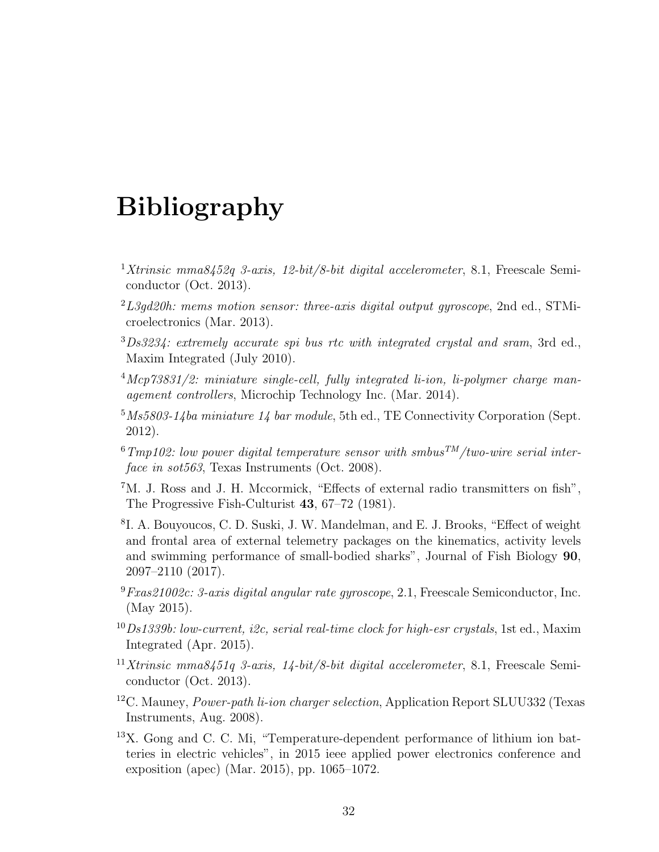## Bibliography

- <span id="page-39-0"></span><sup>1</sup>Xtrinsic mma8452q 3-axis, 12-bit/8-bit digital accelerometer, 8.1, Freescale Semiconductor (Oct. 2013).
- <span id="page-39-1"></span> $^{2}L3qd20h$ : mems motion sensor: three-axis digital output gyroscope, 2nd ed., STMicroelectronics (Mar. 2013).
- <span id="page-39-2"></span><sup>3</sup>Ds3234: extremely accurate spi bus rtc with integrated crystal and sram, 3rd ed., Maxim Integrated (July 2010).
- <span id="page-39-3"></span> $^{4}$ Mcp73831/2: miniature single-cell, fully integrated li-ion, li-polymer charge management controllers, Microchip Technology Inc. (Mar. 2014).
- <span id="page-39-4"></span> $5\,Ms5803-14ba\,minature\,14\,bar\,module$ , 5th ed., TE Connectivity Corporation (Sept. 2012).
- <span id="page-39-5"></span> $6Tmp102$ : low power digital temperature sensor with smbus<sup>TM</sup>/two-wire serial interface in sot563, Texas Instruments (Oct. 2008).
- <span id="page-39-6"></span><sup>7</sup>M. J. Ross and J. H. Mccormick, "Effects of external radio transmitters on fish", The Progressive Fish-Culturist 43, 67–72 (1981).
- <span id="page-39-7"></span>8 I. A. Bouyoucos, C. D. Suski, J. W. Mandelman, and E. J. Brooks, "Effect of weight and frontal area of external telemetry packages on the kinematics, activity levels and swimming performance of small-bodied sharks", Journal of Fish Biology 90, 2097–2110 (2017).
- <span id="page-39-8"></span> $9$ Fxas21002c: 3-axis digital angular rate gyroscope, 2.1, Freescale Semiconductor, Inc. (May 2015).
- <span id="page-39-9"></span> $^{10}Ds1339b$ : low-current, i2c, serial real-time clock for high-esr crystals, 1st ed., Maxim Integrated (Apr. 2015).
- <span id="page-39-10"></span><sup>11</sup>Xtrinsic mma8451q 3-axis, 14-bit/8-bit digital accelerometer, 8.1, Freescale Semiconductor (Oct. 2013).
- <span id="page-39-11"></span><sup>12</sup>C. Mauney, Power-path li-ion charger selection, Application Report SLUU332 (Texas Instruments, Aug. 2008).
- <span id="page-39-12"></span><sup>13</sup>X. Gong and C. C. Mi, "Temperature-dependent performance of lithium ion batteries in electric vehicles", in [2015 ieee applied power electronics conference and](http://dx.doi.org/10.1109/APEC.2015.7104480) [exposition \(apec\)](http://dx.doi.org/10.1109/APEC.2015.7104480) (Mar. 2015), pp. 1065–1072.